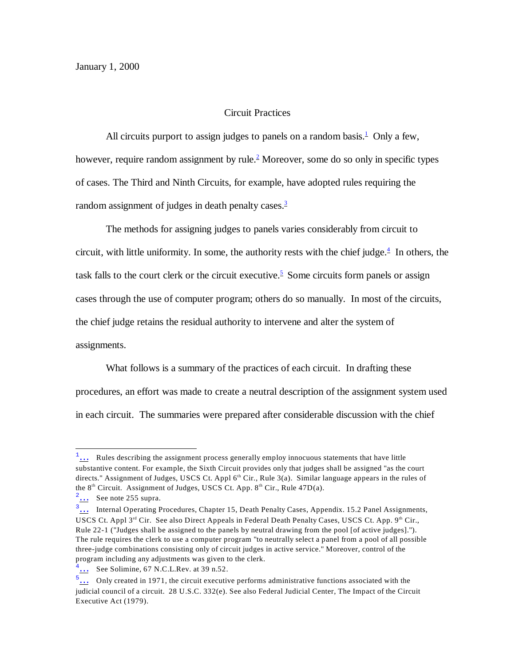## <span id="page-0-4"></span><span id="page-0-3"></span><span id="page-0-2"></span><span id="page-0-1"></span><span id="page-0-0"></span>Circuit Practices

All circuits purport to assign judges to panels on a random basis. $\frac{1}{2}$  $\frac{1}{2}$  $\frac{1}{2}$  Only a few, however, require random assignment by rule.<sup>[2](#page-0-6)</sup> Moreover, some do so only in specific types of cases. The Third and Ninth Circuits, for example, have adopted rules requiring the random assignment of judges in death penalty cases.<sup>[3](#page-0-7)</sup>

The methods for assigning judges to panels varies considerably from circuit to circuit, with little uniformity. In some, the authority rests with the chief judge. $4$  In others, the task falls to the court clerk or the circuit executive.<sup>[5](#page-0-9)</sup> Some circuits form panels or assign cases through the use of computer program; others do so manually. In most of the circuits, the chief judge retains the residual authority to intervene and alter the system of assignments.

What follows is a summary of the practices of each circuit. In drafting these procedures, an effort was made to create a neutral description of the assignment system used in each circuit. The summaries were prepared after considerable discussion with the chief

<span id="page-0-5"></span> $\frac{1}{1}$ ... Rules describing the assignment process generally employ innocuous statements that have little substantive content. For example, the Sixth Circuit provides only that judges shall be assigned "as the court directs." Assignment of Judges, USCS Ct. Appl  $6<sup>th</sup>$  Cir., Rule 3(a). Similar language appears in the rules of the  $8<sup>th</sup>$  Circuit. Assignment of Judges, USCS Ct. App.  $8<sup>th</sup>$  Cir., Rule 47D(a).

<span id="page-0-6"></span> $2\ldots$  See note 255 supra.

<span id="page-0-7"></span> $\overline{\frac{3}{2}}$  Internal Operating Procedures, Chapter 15, Death Penalty Cases, Appendix. 15.2 Panel Assignments, USCS Ct. Appl 3<sup>rd</sup> Cir. See also Direct Appeals in Federal Death Penalty Cases, USCS Ct. App. 9<sup>th</sup> Cir., Rule 22-1 ("Judges shall be assigned to the panels by neutral drawing from the pool [of active judges]."). The rule requires the clerk to use a computer program "to neutrally select a panel from a pool of all possible three-judge combinations consisting only of circuit judges in active service." Moreover, control of the program including any adjustments was given to the clerk.

<span id="page-0-8"></span> $\frac{4}{1}$ ... See Solimine, 67 N.C.L.Rev. at 39 n.52.

<span id="page-0-9"></span> $\frac{5}{1}$  Only created in 1971, the circuit executive performs administrative functions associated with the judicial council of a circuit. 28 U.S.C. 332(e). See also Federal Judicial Center, The Impact of the Circuit Executive Act (1979).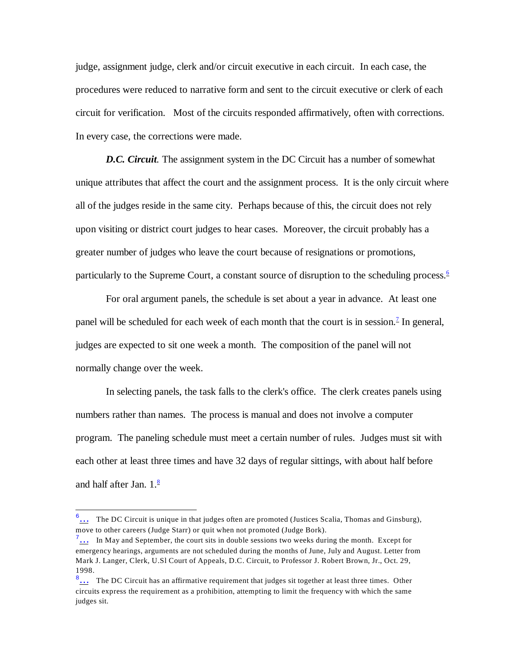judge, assignment judge, clerk and/or circuit executive in each circuit. In each case, the procedures were reduced to narrative form and sent to the circuit executive or clerk of each circuit for verification. Most of the circuits responded affirmatively, often with corrections. In every case, the corrections were made.

*D.C. Circuit.* The assignment system in the DC Circuit has a number of somewhat unique attributes that affect the court and the assignment process. It is the only circuit where all of the judges reside in the same city. Perhaps because of this, the circuit does not rely upon visiting or district court judges to hear cases. Moreover, the circuit probably has a greater number of judges who leave the court because of resignations or promotions, particularly to the Supreme Court, a constant source of disruption to the scheduling process.<sup>[6](#page-1-3)</sup>

<span id="page-1-1"></span><span id="page-1-0"></span>For oral argument panels, the schedule is set about a year in advance. At least one panel will be scheduled for each week of each month that the court is in session.<sup>[7](#page-1-4)</sup> In general, judges are expected to sit one week a month. The composition of the panel will not normally change over the week.

In selecting panels, the task falls to the clerk's office. The clerk creates panels using numbers rather than names. The process is manual and does not involve a computer program. The paneling schedule must meet a certain number of rules. Judges must sit with each other at least three times and have 32 days of regular sittings, with about half before and half after Jan.  $1.\frac{8}{5}$  $1.\frac{8}{5}$  $1.\frac{8}{5}$ 

<span id="page-1-3"></span><span id="page-1-2"></span><sup>&</sup>lt;sup>6</sup>... The DC Circuit is unique in that judges often are promoted (Justices Scalia, Thomas and Ginsburg), move to other careers (Judge Starr) or quit when not promoted (Judge Bork).

<span id="page-1-4"></span> $\frac{7}{1}$ ... In May and September, the court sits in double sessions two weeks during the month. Except for emergency hearings, arguments are not scheduled during the months of June, July and August. Letter from Mark J. Langer, Clerk, U.Sl Court of Appeals, D.C. Circuit, to Professor J. Robert Brown, Jr., Oct. 29, 1998.

<span id="page-1-5"></span> $8\ldots$  The DC Circuit has an affirmative requirement that judges sit together at least three times. Other circuits express the requirement as a prohibition, attempting to limit the frequency with which the same judges sit.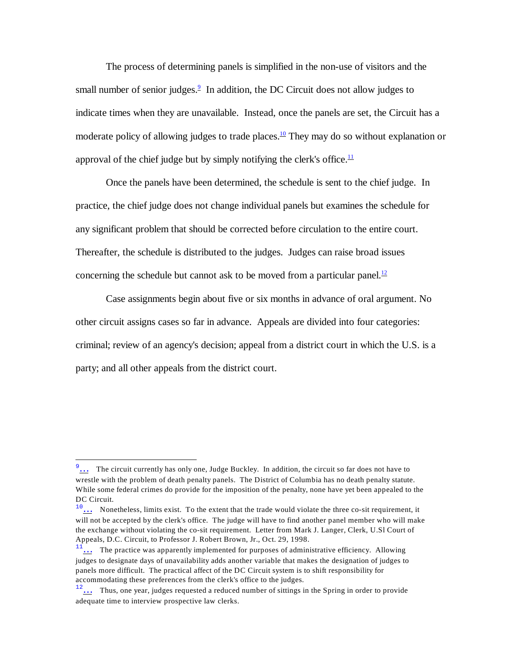<span id="page-2-0"></span>The process of determining panels is simplified in the non-use of visitors and the small number of senior judges. $\frac{9}{5}$  $\frac{9}{5}$  $\frac{9}{5}$  In addition, the DC Circuit does not allow judges to indicate times when they are unavailable. Instead, once the panels are set, the Circuit has a moderate policy of allowing judges to trade places.<sup>[10](#page-2-5)</sup> They may do so without explanation or approval of the chief judge but by simply notifying the clerk's office. $\frac{11}{1}$  $\frac{11}{1}$  $\frac{11}{1}$ 

<span id="page-2-2"></span><span id="page-2-1"></span>Once the panels have been determined, the schedule is sent to the chief judge. In practice, the chief judge does not change individual panels but examines the schedule for any significant problem that should be corrected before circulation to the entire court. Thereafter, the schedule is distributed to the judges. Judges can raise broad issues concerning the schedule but cannot ask to be moved from a particular panel.<sup>[12](#page-2-7)</sup>

<span id="page-2-3"></span>Case assignments begin about five or six months in advance of oral argument. No other circuit assigns cases so far in advance. Appeals are divided into four categories: criminal; review of an agency's decision; appeal from a district court in which the U.S. is a party; and all other appeals from the district court.

<span id="page-2-4"></span><sup>&</sup>lt;sup>9</sup>... The circuit currently has only one, Judge Buckley. In addition, the circuit so far does not have to wrestle with the problem of death penalty panels. The District of Columbia has no death penalty statute. While some federal crimes do provide for the imposition of the penalty, none have yet been appealed to the DC Circuit.

<span id="page-2-5"></span> $\frac{10}{\ldots}$  Nonetheless, limits exist. To the extent that the trade would violate the three co-sit requirement, it will not be accepted by the clerk's office. The judge will have to find another panel member who will make the exchange without violating the co-sit requirement. Letter from Mark J. Langer, Clerk, U.Sl Court of Appeals, D.C. Circuit, to Professor J. Robert Brown, Jr., Oct. 29, 1998.

<span id="page-2-6"></span> $\frac{1}{11}$  The practice was apparently implemented for purposes of administrative efficiency. Allowing judges to designate days of unavailability adds another variable that makes the designation of judges to panels more difficult. The practical affect of the DC Circuit system is to shift responsibility for accommodating these preferences from the clerk's office to the judges.

<span id="page-2-7"></span> $12\ldots$  Thus, one year, judges requested a reduced number of sittings in the Spring in order to provide adequate time to interview prospective law clerks.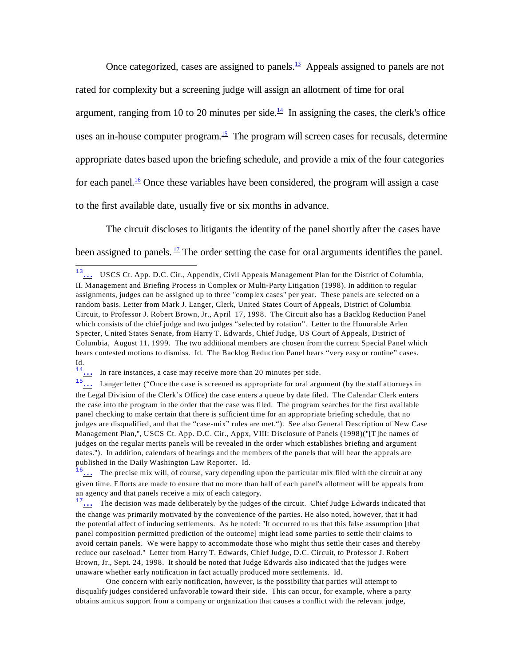<span id="page-3-2"></span><span id="page-3-1"></span><span id="page-3-0"></span>Once categorized, cases are assigned to panels. $\frac{13}{2}$  $\frac{13}{2}$  $\frac{13}{2}$  Appeals assigned to panels are not rated for complexity but a screening judge will assign an allotment of time for oral argument, ranging from 10 to 20 minutes per side.<sup>[14](#page-3-6)</sup> In assigning the cases, the clerk's office uses an in-house computer program.<sup>[15](#page-3-7)</sup> The program will screen cases for recusals, determine appropriate dates based upon the briefing schedule, and provide a mix of the four categories for each panel.<sup>[16](#page-3-8)</sup> Once these variables have been considered, the program will assign a case to the first available date, usually five or six months in advance.

<span id="page-3-4"></span><span id="page-3-3"></span>The circuit discloses to litigants the identity of the panel shortly after the cases have been assigned to panels.  $\frac{17}{1}$  $\frac{17}{1}$  $\frac{17}{1}$  The order setting the case for oral arguments identifies the panel.

One concern with early notification, however, is the possibility that parties will attempt to disqualify judges considered unfavorable toward their side. This can occur, for example, where a party obtains amicus support from a company or organization that causes a conflict with the relevant judge,

<span id="page-3-5"></span><sup>13</sup>[…](#page-3-0) USCS Ct. App. D.C. Cir., Appendix, Civil Appeals Management Plan for the District of Columbia, II. Management and Briefing Process in Complex or Multi-Party Litigation (1998). In addition to regular assignments, judges can be assigned up to three "complex cases" per year. These panels are selected on a random basis. Letter from Mark J. Langer, Clerk, United States Court of Appeals, District of Columbia Circuit, to Professor J. Robert Brown, Jr., April 17, 1998. The Circuit also has a Backlog Reduction Panel which consists of the chief judge and two judges "selected by rotation". Letter to the Honorable Arlen Specter, United States Senate, from Harry T. Edwards, Chief Judge, US Court of Appeals, District of Columbia, August 11, 1999. The two additional members are chosen from the current Special Panel which hears contested motions to dismiss. Id. The Backlog Reduction Panel hears "very easy or routine" cases. Id.

<span id="page-3-6"></span> $14...$  In rare instances, a case may receive more than 20 minutes per side.

<span id="page-3-7"></span> $\overline{15}$ ... Langer letter ("Once the case is screened as appropriate for oral argument (by the staff attorneys in the Legal Division of the Clerk's Office) the case enters a queue by date filed. The Calendar Clerk enters the case into the program in the order that the case was filed. The program searches for the first available panel checking to make certain that there is sufficient time for an appropriate briefing schedule, that no judges are disqualified, and that the "case-mix" rules are met."). See also General Description of New Case Management Plan,", USCS Ct. App. D.C. Cir., Appx, VIII: Disclosure of Panels (1998)("[T]he names of judges on the regular merits panels will be revealed in the order which establishes briefing and argument dates."). In addition, calendars of hearings and the members of the panels that will hear the appeals are published in the Daily Washington Law Reporter. Id.

<span id="page-3-8"></span> $\frac{16}{16}$ ... The precise mix will, of course, vary depending upon the particular mix filed with the circuit at any given time. Efforts are made to ensure that no more than half of each panel's allotment will be appeals from an agency and that panels receive a mix of each category.

<span id="page-3-9"></span><sup>&</sup>lt;sup>17</sup>... The decision was made deliberately by the judges of the circuit. Chief Judge Edwards indicated that the change was primarily motivated by the convenience of the parties. He also noted, however, that it had the potential affect of inducing settlements. As he noted: "It occurred to us that this false assumption [that panel composition permitted prediction of the outcome] might lead some parties to settle their claims to avoid certain panels. We were happy to accommodate those who might thus settle their cases and thereby reduce our caseload." Letter from Harry T. Edwards, Chief Judge, D.C. Circuit, to Professor J. Robert Brown, Jr., Sept. 24, 1998. It should be noted that Judge Edwards also indicated that the judges were unaware whether early notification in fact actually produced more settlements. Id.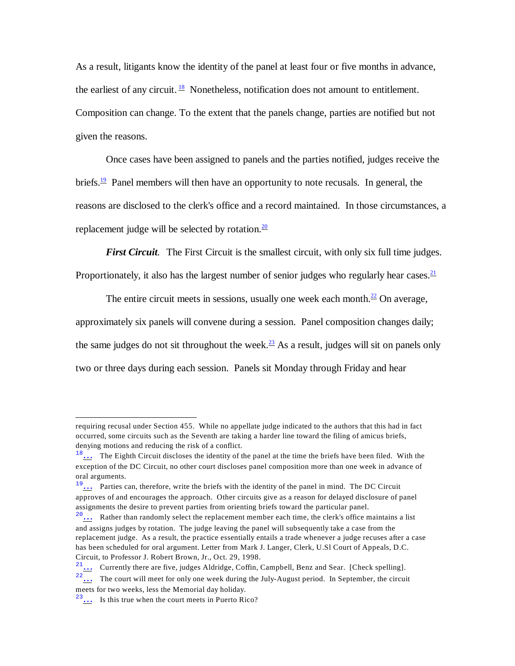<span id="page-4-0"></span>As a result, litigants know the identity of the panel at least four or five months in advance, the earliest of any circuit.  $\frac{18}{18}$  $\frac{18}{18}$  $\frac{18}{18}$  Nonetheless, notification does not amount to entitlement. Composition can change. To the extent that the panels change, parties are notified but not given the reasons.

<span id="page-4-1"></span>Once cases have been assigned to panels and the parties notified, judges receive the briefs.<sup>[19](#page-4-7)</sup> Panel members will then have an opportunity to note recusals. In general, the reasons are disclosed to the clerk's office and a record maintained. In those circumstances, a replacement judge will be selected by rotation. $\frac{20}{20}$  $\frac{20}{20}$  $\frac{20}{20}$ 

<span id="page-4-4"></span><span id="page-4-3"></span><span id="page-4-2"></span>*First Circuit.* The First Circuit is the smallest circuit, with only six full time judges.

Proportionately, it also has the largest number of senior judges who regularly hear cases. $\frac{21}{2}$  $\frac{21}{2}$  $\frac{21}{2}$ 

<span id="page-4-5"></span>The entire circuit meets in sessions, usually one week each month. $^{22}$  $^{22}$  $^{22}$  On average, approximately six panels will convene during a session. Panel composition changes daily; the same judges do not sit throughout the week. $\frac{23}{12}$  $\frac{23}{12}$  $\frac{23}{12}$  As a result, judges will sit on panels only two or three days during each session. Panels sit Monday through Friday and hear

<span id="page-4-9"></span> $21...$  Currently there are five, judges Aldridge, Coffin, Campbell, Benz and Sear. [Check spelling].

requiring recusal under Section 455. While no appellate judge indicated to the authors that this had in fact occurred, some circuits such as the Seventh are taking a harder line toward the filing of amicus briefs, denying motions and reducing the risk of a conflict.

<span id="page-4-6"></span><sup>&</sup>lt;sup>18</sup>[…](#page-4-0) The Eighth Circuit discloses the identity of the panel at the time the briefs have been filed. With the exception of the DC Circuit, no other court discloses panel composition more than one week in advance of oral arguments.

<span id="page-4-7"></span><sup>&</sup>lt;sup>19</sup>[…](#page-4-1) Parties can, therefore, write the briefs with the identity of the panel in mind. The DC Circuit approves of and encourages the approach. Other circuits give as a reason for delayed disclosure of panel assignments the desire to prevent parties from orienting briefs toward the particular panel.

<span id="page-4-8"></span> $20...$  Rather than randomly select the replacement member each time, the clerk's office maintains a list and assigns judges by rotation. The judge leaving the panel will subsequently take a case from the replacement judge. As a result, the practice essentially entails a trade whenever a judge recuses after a case has been scheduled for oral argument. Letter from Mark J. Langer, Clerk, U.Sl Court of Appeals, D.C. Circuit, to Professor J. Robert Brown, Jr., Oct. 29, 1998.

<span id="page-4-10"></span> $22\ldots$  The court will meet for only one week during the July-August period. In September, the circuit meets for two weeks, less the Memorial day holiday.

<span id="page-4-11"></span><sup>23</sup>[…](#page-4-5) Is this true when the court meets in Puerto Rico?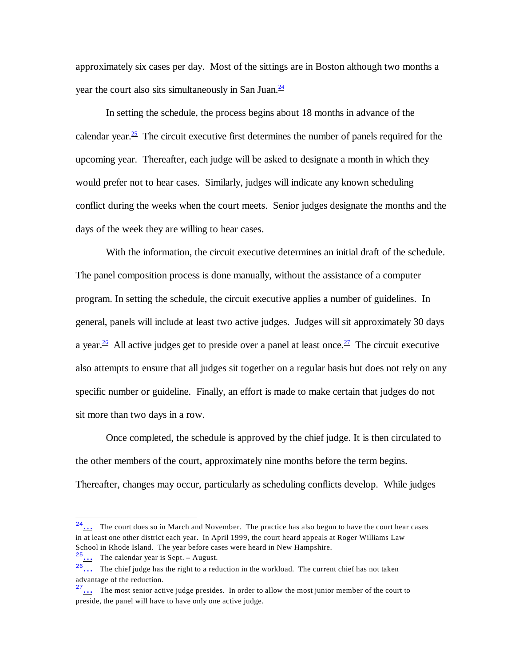<span id="page-5-0"></span>approximately six cases per day. Most of the sittings are in Boston although two months a year the court also sits simultaneously in San Juan. $\frac{24}{3}$  $\frac{24}{3}$  $\frac{24}{3}$ 

<span id="page-5-1"></span>In setting the schedule, the process begins about 18 months in advance of the calendar year.<sup>[25](#page-5-5)</sup> The circuit executive first determines the number of panels required for the upcoming year. Thereafter, each judge will be asked to designate a month in which they would prefer not to hear cases. Similarly, judges will indicate any known scheduling conflict during the weeks when the court meets. Senior judges designate the months and the days of the week they are willing to hear cases.

<span id="page-5-3"></span><span id="page-5-2"></span>With the information, the circuit executive determines an initial draft of the schedule. The panel composition process is done manually, without the assistance of a computer program. In setting the schedule, the circuit executive applies a number of guidelines. In general, panels will include at least two active judges. Judges will sit approximately 30 days a year.<sup>[26](#page-5-6)</sup> All active judges get to preside over a panel at least once.<sup>[27](#page-5-7)</sup> The circuit executive also attempts to ensure that all judges sit together on a regular basis but does not rely on any specific number or guideline. Finally, an effort is made to make certain that judges do not sit more than two days in a row.

Once completed, the schedule is approved by the chief judge. It is then circulated to the other members of the court, approximately nine months before the term begins. Thereafter, changes may occur, particularly as scheduling conflicts develop. While judges

<span id="page-5-4"></span> $2<sup>4</sup>$ ... The court does so in March and November. The practice has also begun to have the court hear cases in at least one other district each year. In April 1999, the court heard appeals at Roger Williams Law School in Rhode Island. The year before cases were heard in New Hampshire.

<span id="page-5-5"></span> $25...$  The calendar year is Sept. – August.

<span id="page-5-6"></span><sup>26</sup>[…](#page-5-2) The chief judge has the right to a reduction in the workload. The current chief has not taken advantage of the reduction.

<span id="page-5-7"></span> $27...$  The most senior active judge presides. In order to allow the most junior member of the court to preside, the panel will have to have only one active judge.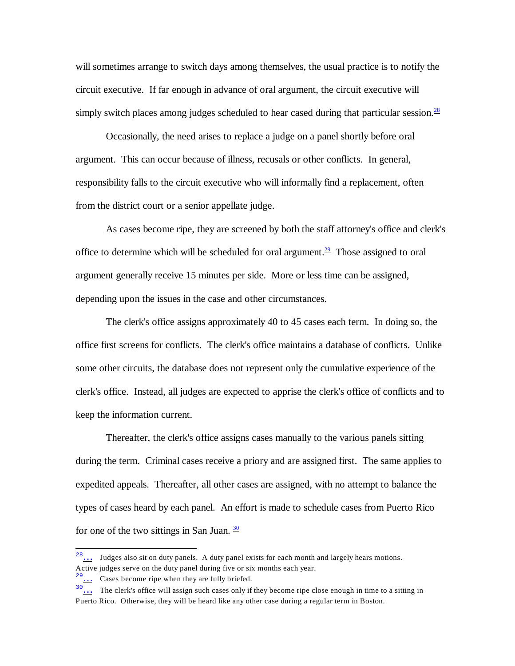will sometimes arrange to switch days among themselves, the usual practice is to notify the circuit executive. If far enough in advance of oral argument, the circuit executive will simply switch places among judges scheduled to hear cased during that particular session.<sup>[28](#page-6-3)</sup>

<span id="page-6-0"></span>Occasionally, the need arises to replace a judge on a panel shortly before oral argument. This can occur because of illness, recusals or other conflicts. In general, responsibility falls to the circuit executive who will informally find a replacement, often from the district court or a senior appellate judge.

<span id="page-6-1"></span>As cases become ripe, they are screened by both the staff attorney's office and clerk's office to determine which will be scheduled for oral argument.<sup>[29](#page-6-4)</sup> Those assigned to oral argument generally receive 15 minutes per side. More or less time can be assigned, depending upon the issues in the case and other circumstances.

The clerk's office assigns approximately 40 to 45 cases each term. In doing so, the office first screens for conflicts. The clerk's office maintains a database of conflicts. Unlike some other circuits, the database does not represent only the cumulative experience of the clerk's office. Instead, all judges are expected to apprise the clerk's office of conflicts and to keep the information current.

Thereafter, the clerk's office assigns cases manually to the various panels sitting during the term. Criminal cases receive a priory and are assigned first. The same applies to expedited appeals. Thereafter, all other cases are assigned, with no attempt to balance the types of cases heard by each panel. An effort is made to schedule cases from Puerto Rico for one of the two sittings in San Juan.  $\frac{30}{20}$  $\frac{30}{20}$  $\frac{30}{20}$ 

<span id="page-6-3"></span><span id="page-6-2"></span><sup>28</sup>[…](#page-6-0) Judges also sit on duty panels. A duty panel exists for each month and largely hears motions. Active judges serve on the duty panel during five or six months each year.

<span id="page-6-4"></span> $29...$  Cases become ripe when they are fully briefed.

<span id="page-6-5"></span><sup>&</sup>lt;sup>30</sup>... The clerk's office will assign such cases only if they become ripe close enough in time to a sitting in Puerto Rico. Otherwise, they will be heard like any other case during a regular term in Boston.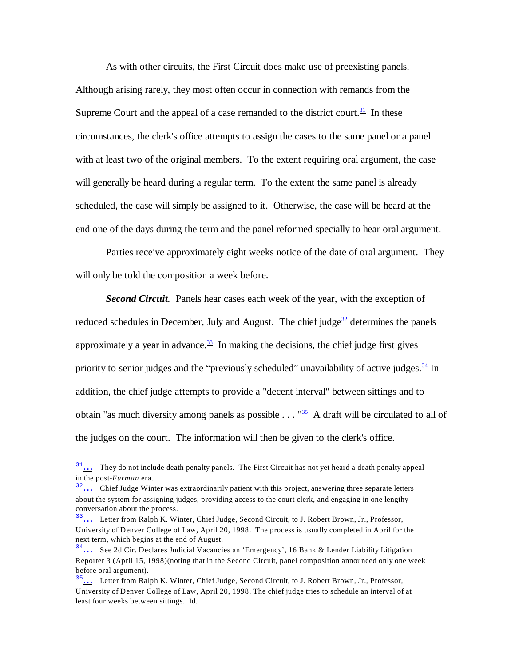<span id="page-7-0"></span>As with other circuits, the First Circuit does make use of preexisting panels. Although arising rarely, they most often occur in connection with remands from the Supreme Court and the appeal of a case remanded to the district court.<sup>[31](#page-7-5)</sup> In these circumstances, the clerk's office attempts to assign the cases to the same panel or a panel with at least two of the original members. To the extent requiring oral argument, the case will generally be heard during a regular term. To the extent the same panel is already scheduled, the case will simply be assigned to it. Otherwise, the case will be heard at the end one of the days during the term and the panel reformed specially to hear oral argument.

Parties receive approximately eight weeks notice of the date of oral argument. They will only be told the composition a week before.

<span id="page-7-3"></span><span id="page-7-2"></span><span id="page-7-1"></span>*Second Circuit.* Panels hear cases each week of the year, with the exception of reduced schedules in December, July and August. The chief judge<sup>[32](#page-7-6)</sup> determines the panels approximately a year in advance.  $\frac{33}{2}$  $\frac{33}{2}$  $\frac{33}{2}$  In making the decisions, the chief judge first gives priority to senior judges and the "previously scheduled" unavailability of active judges. $\frac{34}{1}$  $\frac{34}{1}$  $\frac{34}{1}$  In addition, the chief judge attempts to provide a "decent interval" between sittings and to obtain "as much diversity among panels as possible  $\ldots$  "<sup>[35](#page-7-9)</sup> A draft will be circulated to all of the judges on the court. The information will then be given to the clerk's office.

<span id="page-7-5"></span><span id="page-7-4"></span> $31...$  They do not include death penalty panels. The First Circuit has not yet heard a death penalty appeal in the post-*Furman* era.

<span id="page-7-6"></span> $3<sup>3</sup>$ ... Chief Judge Winter was extraordinarily patient with this project, answering three separate letters about the system for assigning judges, providing access to the court clerk, and engaging in one lengthy conversation about the process.

<span id="page-7-7"></span><sup>&</sup>lt;sup>33</sup>... Letter from Ralph K. Winter, Chief Judge, Second Circuit, to J. Robert Brown, Jr., Professor, University of Denver College of Law, April 20, 1998. The process is usually completed in April for the next term, which begins at the end of August.

<span id="page-7-8"></span><sup>34</sup>[…](#page-7-3) See 2d Cir. Declares Judicial Vacancies an 'Emergency', 16 Bank & Lender Liability Litigation Reporter 3 (April 15, 1998)(noting that in the Second Circuit, panel composition announced only one week before oral argument).

<span id="page-7-9"></span> $35...$  Letter from Ralph K. Winter, Chief Judge, Second Circuit, to J. Robert Brown, Jr., Professor, University of Denver College of Law, April 20, 1998. The chief judge tries to schedule an interval of at least four weeks between sittings. Id.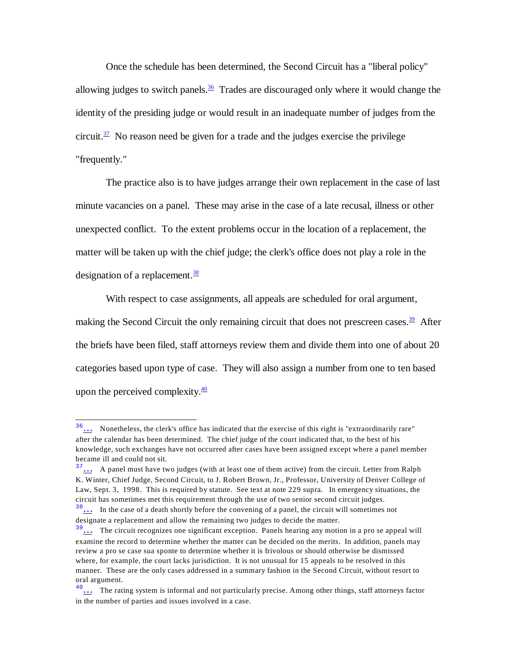<span id="page-8-0"></span>Once the schedule has been determined, the Second Circuit has a "liberal policy" allowing judges to switch panels.<sup>[36](#page-8-5)</sup> Trades are discouraged only where it would change the identity of the presiding judge or would result in an inadequate number of judges from the circuit. $37$  No reason need be given for a trade and the judges exercise the privilege "frequently."

<span id="page-8-1"></span>The practice also is to have judges arrange their own replacement in the case of last minute vacancies on a panel. These may arise in the case of a late recusal, illness or other unexpected conflict. To the extent problems occur in the location of a replacement, the matter will be taken up with the chief judge; the clerk's office does not play a role in the designation of a replacement. $\frac{38}{3}$  $\frac{38}{3}$  $\frac{38}{3}$ 

<span id="page-8-3"></span><span id="page-8-2"></span>With respect to case assignments, all appeals are scheduled for oral argument, making the Second Circuit the only remaining circuit that does not prescreen cases.<sup>[39](#page-8-8)</sup> After the briefs have been filed, staff attorneys review them and divide them into one of about 20 categories based upon type of case. They will also assign a number from one to ten based upon the perceived complexity. $\frac{40}{ }$  $\frac{40}{ }$  $\frac{40}{ }$ 

<span id="page-8-5"></span><span id="page-8-4"></span><sup>36</sup>[…](#page-8-0) Nonetheless, the clerk's office has indicated that the exercise of this right is "extraordinarily rare" after the calendar has been determined. The chief judge of the court indicated that, to the best of his knowledge, such exchanges have not occurred after cases have been assigned except where a panel member became ill and could not sit.

<span id="page-8-6"></span> $\frac{37}{11}$ ... A panel must have two judges (with at least one of them active) from the circuit. Letter from Ralph K. Winter, Chief Judge, Second Circuit, to J. Robert Brown, Jr., Professor, University of Denver College of Law, Sept. 3, 1998. This is required by statute. See text at note 229 supra. In emergency situations, the circuit has sometimes met this requirement through the use of two senior second circuit judges.

<span id="page-8-7"></span><sup>38</sup>[…](#page-8-2) In the case of a death shortly before the convening of a panel, the circuit will sometimes not designate a replacement and allow the remaining two judges to decide the matter.

<span id="page-8-8"></span> $\frac{39}{11}$ ... The circuit recognizes one significant exception. Panels hearing any motion in a pro se appeal will examine the record to determine whether the matter can be decided on the merits. In addition, panels may review a pro se case sua sponte to determine whether it is frivolous or should otherwise be dismissed where, for example, the court lacks jurisdiction. It is not unusual for 15 appeals to be resolved in this manner. These are the only cases addressed in a summary fashion in the Second Circuit, without resort to oral argument.

<span id="page-8-9"></span><sup>&</sup>lt;sup>40</sup>... The rating system is informal and not particularly precise. Among other things, staff attorneys factor in the number of parties and issues involved in a case.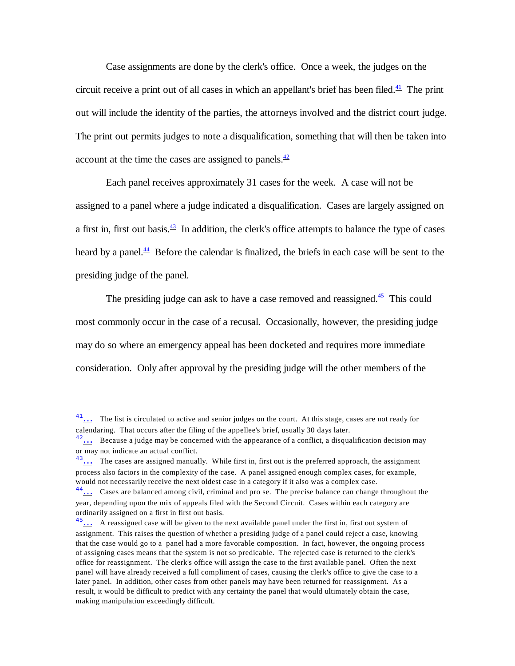<span id="page-9-0"></span>Case assignments are done by the clerk's office. Once a week, the judges on the circuit receive a print out of all cases in which an appellant's brief has been filed. $\frac{41}{1}$  $\frac{41}{1}$  $\frac{41}{1}$  The print out will include the identity of the parties, the attorneys involved and the district court judge. The print out permits judges to note a disqualification, something that will then be taken into account at the time the cases are assigned to panels. $\frac{42}{5}$  $\frac{42}{5}$  $\frac{42}{5}$ 

<span id="page-9-2"></span><span id="page-9-1"></span>Each panel receives approximately 31 cases for the week. A case will not be assigned to a panel where a judge indicated a disqualification. Cases are largely assigned on a first in, first out basis. $\frac{43}{10}$  $\frac{43}{10}$  $\frac{43}{10}$  In addition, the clerk's office attempts to balance the type of cases heard by a panel. $\frac{44}{3}$  $\frac{44}{3}$  $\frac{44}{3}$  Before the calendar is finalized, the briefs in each case will be sent to the presiding judge of the panel.

<span id="page-9-4"></span><span id="page-9-3"></span>The presiding judge can ask to have a case removed and reassigned.<sup>[45](#page-9-9)</sup> This could most commonly occur in the case of a recusal. Occasionally, however, the presiding judge may do so where an emergency appeal has been docketed and requires more immediate consideration. Only after approval by the presiding judge will the other members of the

<span id="page-9-5"></span><sup>&</sup>lt;sup>41</sup>... The list is circulated to active and senior judges on the court. At this stage, cases are not ready for calendaring. That occurs after the filing of the appellee's brief, usually 30 days later.

<span id="page-9-6"></span><sup>&</sup>lt;sup>42</sup>... Because a judge may be concerned with the appearance of a conflict, a disqualification decision may or may not indicate an actual conflict.

<span id="page-9-7"></span><sup>&</sup>lt;sup>43</sup>... The cases are assigned manually. While first in, first out is the preferred approach, the assignment process also factors in the complexity of the case. A panel assigned enough complex cases, for example, would not necessarily receive the next oldest case in a category if it also was a complex case.

<span id="page-9-8"></span> $\frac{44}{11}$ ... Cases are balanced among civil, criminal and pro se. The precise balance can change throughout the year, depending upon the mix of appeals filed with the Second Circuit. Cases within each category are ordinarily assigned on a first in first out basis.

<span id="page-9-9"></span> $\frac{45}{100}$  A reassigned case will be given to the next available panel under the first in, first out system of assignment. This raises the question of whether a presiding judge of a panel could reject a case, knowing that the case would go to a panel had a more favorable composition. In fact, however, the ongoing process of assigning cases means that the system is not so predicable. The rejected case is returned to the clerk's office for reassignment. The clerk's office will assign the case to the first available panel. Often the next panel will have already received a full compliment of cases, causing the clerk's office to give the case to a later panel. In addition, other cases from other panels may have been returned for reassignment. As a result, it would be difficult to predict with any certainty the panel that would ultimately obtain the case, making manipulation exceedingly difficult.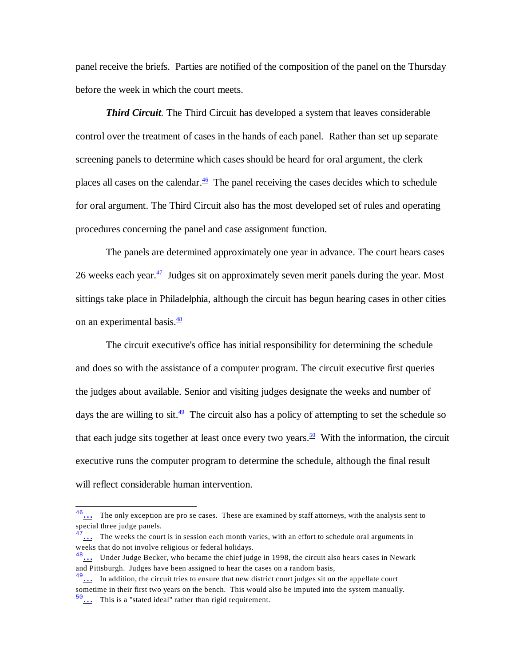panel receive the briefs. Parties are notified of the composition of the panel on the Thursday before the week in which the court meets.

<span id="page-10-0"></span>*Third Circuit.* The Third Circuit has developed a system that leaves considerable control over the treatment of cases in the hands of each panel. Rather than set up separate screening panels to determine which cases should be heard for oral argument, the clerk places all cases on the calendar. $\frac{46}{5}$  $\frac{46}{5}$  $\frac{46}{5}$  The panel receiving the cases decides which to schedule for oral argument. The Third Circuit also has the most developed set of rules and operating procedures concerning the panel and case assignment function.

<span id="page-10-1"></span>The panels are determined approximately one year in advance. The court hears cases 26 weeks each year. $\frac{47}{1}$  $\frac{47}{1}$  $\frac{47}{1}$  Judges sit on approximately seven merit panels during the year. Most sittings take place in Philadelphia, although the circuit has begun hearing cases in other cities on an experimental basis. $\frac{48}{3}$  $\frac{48}{3}$  $\frac{48}{3}$ 

<span id="page-10-3"></span><span id="page-10-2"></span>The circuit executive's office has initial responsibility for determining the schedule and does so with the assistance of a computer program. The circuit executive first queries the judges about available. Senior and visiting judges designate the weeks and number of days the are willing to sit. $\frac{49}{2}$  $\frac{49}{2}$  $\frac{49}{2}$  The circuit also has a policy of attempting to set the schedule so that each judge sits together at least once every two years.<sup>[50](#page-10-9)</sup> With the information, the circuit executive runs the computer program to determine the schedule, although the final result will reflect considerable human intervention.

<span id="page-10-5"></span><span id="page-10-4"></span><sup>&</sup>lt;sup>46</sup>... The only exception are pro se cases. These are examined by staff attorneys, with the analysis sent to special three judge panels.

<span id="page-10-6"></span> $47...$  The weeks the court is in session each month varies, with an effort to schedule oral arguments in weeks that do not involve religious or federal holidays.

<span id="page-10-7"></span> $^{48}$ ... Under Judge Becker, who became the chief judge in 1998, the circuit also hears cases in Newark and Pittsburgh. Judges have been assigned to hear the cases on a random basis,

<span id="page-10-8"></span> $\frac{49}{100}$  In addition, the circuit tries to ensure that new district court judges sit on the appellate court sometime in their first two years on the bench. This would also be imputed into the system manually.

<span id="page-10-9"></span> $50...$  This is a "stated ideal" rather than rigid requirement.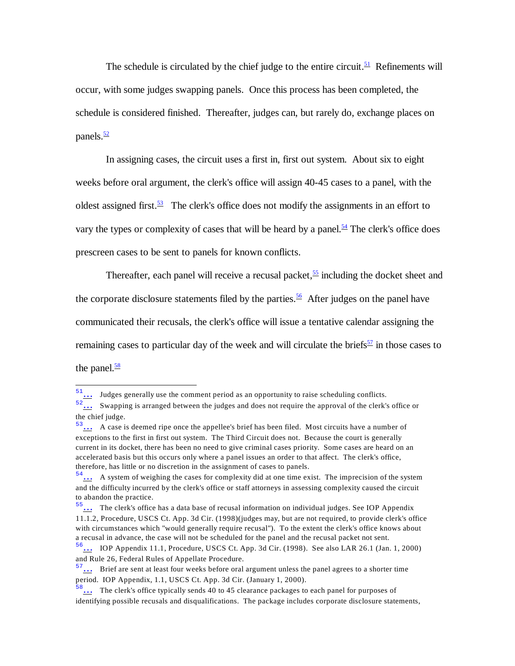<span id="page-11-0"></span>The schedule is circulated by the chief judge to the entire circuit.<sup>[51](#page-11-8)</sup> Refinements will occur, with some judges swapping panels. Once this process has been completed, the schedule is considered finished. Thereafter, judges can, but rarely do, exchange places on panels. $\frac{52}{2}$  $\frac{52}{2}$  $\frac{52}{2}$ 

<span id="page-11-2"></span><span id="page-11-1"></span>In assigning cases, the circuit uses a first in, first out system. About six to eight weeks before oral argument, the clerk's office will assign 40-45 cases to a panel, with the oldest assigned first.<sup>[53](#page-11-10)</sup> The clerk's office does not modify the assignments in an effort to vary the types or complexity of cases that will be heard by a panel.<sup>[54](#page-11-11)</sup> The clerk's office does prescreen cases to be sent to panels for known conflicts.

<span id="page-11-5"></span><span id="page-11-4"></span><span id="page-11-3"></span>Thereafter, each panel will receive a recusal packet,  $\frac{55}{2}$  $\frac{55}{2}$  $\frac{55}{2}$  including the docket sheet and the corporate disclosure statements filed by the parties.<sup>[56](#page-11-13)</sup> After judges on the panel have communicated their recusals, the clerk's office will issue a tentative calendar assigning the remaining cases to particular day of the week and will circulate the briefs $\frac{57}{1}$  $\frac{57}{1}$  $\frac{57}{1}$  in those cases to the panel. $\frac{58}{5}$  $\frac{58}{5}$  $\frac{58}{5}$ 

<span id="page-11-8"></span><span id="page-11-7"></span><span id="page-11-6"></span> $\frac{51}{1}$ ... Judges generally use the comment period as an opportunity to raise scheduling conflicts.

<span id="page-11-9"></span><sup>52</sup>[…](#page-11-1) Swapping is arranged between the judges and does not require the approval of the clerk's office or the chief judge.

<span id="page-11-10"></span> $53...$  A case is deemed ripe once the appellee's brief has been filed. Most circuits have a number of exceptions to the first in first out system. The Third Circuit does not. Because the court is generally current in its docket, there has been no need to give criminal cases priority. Some cases are heard on an accelerated basis but this occurs only where a panel issues an order to that affect. The clerk's office, therefore, has little or no discretion in the assignment of cases to panels.

<span id="page-11-11"></span> $54...$  A system of weighing the cases for complexity did at one time exist. The imprecision of the system and the difficulty incurred by the clerk's office or staff attorneys in assessing complexity caused the circuit to abandon the practice.

<span id="page-11-12"></span><sup>55</sup>[…](#page-11-4) The clerk's office has a data base of recusal information on individual judges. See IOP Appendix 11.1.2, Procedure, USCS Ct. App. 3d Cir. (1998)(judges may, but are not required, to provide clerk's office with circumstances which "would generally require recusal"). To the extent the clerk's office knows about a recusal in advance, the case will not be scheduled for the panel and the recusal packet not sent.

<span id="page-11-13"></span> $^{56}$  ... IOP Appendix 11.1, Procedure, USCS Ct. App. 3d Cir. (1998). See also LAR 26.1 (Jan. 1, 2000) and Rule 26, Federal Rules of Appellate Procedure.

<span id="page-11-14"></span> $57...$  Brief are sent at least four weeks before oral argument unless the panel agrees to a shorter time period. IOP Appendix, 1.1, USCS Ct. App. 3d Cir. (January 1, 2000).

<span id="page-11-15"></span><sup>58</sup>[…](#page-11-7) The clerk's office typically sends 40 to 45 clearance packages to each panel for purposes of identifying possible recusals and disqualifications. The package includes corporate disclosure statements,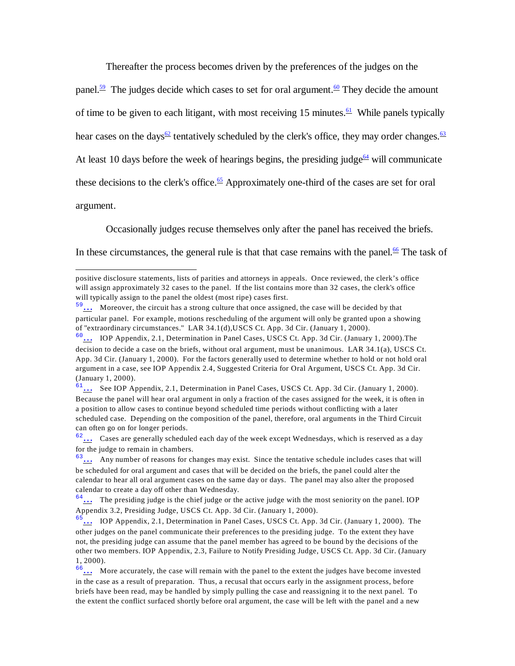<span id="page-12-4"></span><span id="page-12-3"></span><span id="page-12-2"></span><span id="page-12-1"></span><span id="page-12-0"></span>Thereafter the process becomes driven by the preferences of the judges on the

panel.<sup>[59](#page-12-8)</sup> The judges decide which cases to set for oral argument.<sup>[60](#page-12-9)</sup> They decide the amount of time to be given to each litigant, with most receiving 15 minutes.<sup>[61](#page-12-10)</sup> While panels typically hear cases on the days<sup>[62](#page-12-11)</sup> tentatively scheduled by the clerk's office, they may order changes.<sup>[63](#page-12-12)</sup> At least 10 days before the week of hearings begins, the presiding judge<sup>[64](#page-12-13)</sup> will communicate these decisions to the clerk's office.<sup>[65](#page-12-14)</sup> Approximately one-third of the cases are set for oral argument.

<span id="page-12-7"></span><span id="page-12-6"></span><span id="page-12-5"></span>Occasionally judges recuse themselves only after the panel has received the briefs.

In these circumstances, the general rule is that that case remains with the panel.<sup>[66](#page-12-15)</sup> The task of

positive disclosure statements, lists of parities and attorneys in appeals. Once reviewed, the clerk's office will assign approximately 32 cases to the panel. If the list contains more than 32 cases, the clerk's office will typically assign to the panel the oldest (most ripe) cases first.

<span id="page-12-8"></span> $\frac{59}{100}$  Moreover, the circuit has a strong culture that once assigned, the case will be decided by that particular panel. For example, motions rescheduling of the argument will only be granted upon a showing of "extraordinary circumstances." LAR 34.1(d),USCS Ct. App. 3d Cir. (January 1, 2000).

<span id="page-12-9"></span> $60...$  IOP Appendix, 2.1, Determination in Panel Cases, USCS Ct. App. 3d Cir. (January 1, 2000). The decision to decide a case on the briefs, without oral argument, must be unanimous. LAR 34.1(a), USCS Ct. App. 3d Cir. (January 1, 2000). For the factors generally used to determine whether to hold or not hold oral argument in a case, see IOP Appendix 2.4, Suggested Criteria for Oral Argument, USCS Ct. App. 3d Cir. (January 1, 2000).

<span id="page-12-10"></span><sup>61</sup>[…](#page-12-2) See IOP Appendix, 2.1, Determination in Panel Cases, USCS Ct. App. 3d Cir. (January 1, 2000). Because the panel will hear oral argument in only a fraction of the cases assigned for the week, it is often in a position to allow cases to continue beyond scheduled time periods without conflicting with a later scheduled case. Depending on the composition of the panel, therefore, oral arguments in the Third Circuit can often go on for longer periods.

<span id="page-12-11"></span> $62...$  Cases are generally scheduled each day of the week except Wednesdays, which is reserved as a day for the judge to remain in chambers.

<span id="page-12-12"></span> $63...$  Any number of reasons for changes may exist. Since the tentative schedule includes cases that will be scheduled for oral argument and cases that will be decided on the briefs, the panel could alter the calendar to hear all oral argument cases on the same day or days. The panel may also alter the proposed calendar to create a day off other than Wednesday.

<span id="page-12-13"></span> $64...$  The presiding judge is the chief judge or the active judge with the most seniority on the panel. IOP Appendix 3.2, Presiding Judge, USCS Ct. App. 3d Cir. (January 1, 2000).

<span id="page-12-14"></span> $\frac{5}{11}$  IOP Appendix, 2.1, Determination in Panel Cases, USCS Ct. App. 3d Cir. (January 1, 2000). The other judges on the panel communicate their preferences to the presiding judge. To the extent they have not, the presiding judge can assume that the panel member has agreed to be bound by the decisions of the other two members. IOP Appendix, 2.3, Failure to Notify Presiding Judge, USCS Ct. App. 3d Cir. (January 1, 2000).

<span id="page-12-15"></span><sup>&</sup>lt;sup>66</sup>... More accurately, the case will remain with the panel to the extent the judges have become invested in the case as a result of preparation. Thus, a recusal that occurs early in the assignment process, before briefs have been read, may be handled by simply pulling the case and reassigning it to the next panel. To the extent the conflict surfaced shortly before oral argument, the case will be left with the panel and a new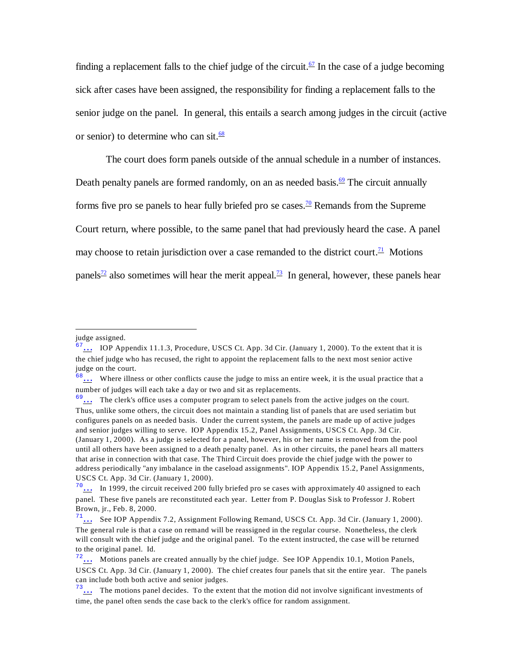<span id="page-13-0"></span>finding a replacement falls to the chief judge of the circuit.<sup>[67](#page-13-7)</sup> In the case of a judge becoming sick after cases have been assigned, the responsibility for finding a replacement falls to the senior judge on the panel. In general, this entails a search among judges in the circuit (active or senior) to determine who can sit. $\frac{68}{6}$  $\frac{68}{6}$  $\frac{68}{6}$ 

<span id="page-13-3"></span><span id="page-13-2"></span><span id="page-13-1"></span>The court does form panels outside of the annual schedule in a number of instances. Death penalty panels are formed randomly, on an as needed basis.<sup>[69](#page-13-9)</sup> The circuit annually forms five pro se panels to hear fully briefed pro se cases.<sup>[70](#page-13-10)</sup> Remands from the Supreme Court return, where possible, to the same panel that had previously heard the case. A panel may choose to retain jurisdiction over a case remanded to the district court.<sup>[71](#page-13-11)</sup> Motions panels<sup>[72](#page-13-12)</sup> also sometimes will hear the merit appeal.<sup>[73](#page-13-13)</sup> In general, however, these panels hear

<span id="page-13-6"></span><span id="page-13-5"></span><span id="page-13-4"></span>judge assigned.

<span id="page-13-7"></span> $67...$  IOP Appendix 11.1.3, Procedure, USCS Ct. App. 3d Cir. (January 1, 2000). To the extent that it is the chief judge who has recused, the right to appoint the replacement falls to the next most senior active judge on the court.

<span id="page-13-8"></span> $68...$  Where illness or other conflicts cause the judge to miss an entire week, it is the usual practice that a number of judges will each take a day or two and sit as replacements.

<span id="page-13-9"></span> $69...$  The clerk's office uses a computer program to select panels from the active judges on the court. Thus, unlike some others, the circuit does not maintain a standing list of panels that are used seriatim but configures panels on as needed basis. Under the current system, the panels are made up of active judges and senior judges willing to serve. IOP Appendix 15.2, Panel Assignments, USCS Ct. App. 3d Cir. (January 1, 2000). As a judge is selected for a panel, however, his or her name is removed from the pool until all others have been assigned to a death penalty panel. As in other circuits, the panel hears all matters that arise in connection with that case. The Third Circuit does provide the chief judge with the power to address periodically "any imbalance in the caseload assignments". IOP Appendix 15.2, Panel Assignments, USCS Ct. App. 3d Cir. (January 1, 2000).

<span id="page-13-10"></span> $\frac{70}{10}$  In 1999, the circuit received 200 fully briefed pro se cases with approximately 40 assigned to each panel. These five panels are reconstituted each year. Letter from P. Douglas Sisk to Professor J. Robert Brown, jr., Feb. 8, 2000.

<span id="page-13-11"></span> $71...$  See IOP Appendix 7.2, Assignment Following Remand, USCS Ct. App. 3d Cir. (January 1, 2000). The general rule is that a case on remand will be reassigned in the regular course. Nonetheless, the clerk will consult with the chief judge and the original panel. To the extent instructed, the case will be returned to the original panel. Id.

<span id="page-13-12"></span> $^{72}$ ... Motions panels are created annually by the chief judge. See IOP Appendix 10.1, Motion Panels, USCS Ct. App. 3d Cir. (January 1, 2000). The chief creates four panels that sit the entire year. The panels can include both both active and senior judges.

<span id="page-13-13"></span> $^{73}$ ... The motions panel decides. To the extent that the motion did not involve significant investments of time, the panel often sends the case back to the clerk's office for random assignment.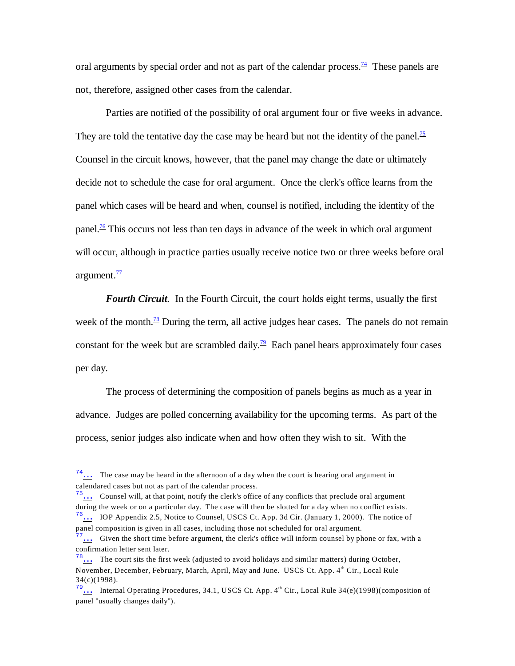<span id="page-14-0"></span>oral arguments by special order and not as part of the calendar process.<sup>[74](#page-14-6)</sup> These panels are not, therefore, assigned other cases from the calendar.

<span id="page-14-1"></span>Parties are notified of the possibility of oral argument four or five weeks in advance. They are told the tentative day the case may be heard but not the identity of the panel.<sup>[75](#page-14-7)</sup> Counsel in the circuit knows, however, that the panel may change the date or ultimately decide not to schedule the case for oral argument. Once the clerk's office learns from the panel which cases will be heard and when, counsel is notified, including the identity of the panel.<sup>[76](#page-14-8)</sup> This occurs not less than ten days in advance of the week in which oral argument will occur, although in practice parties usually receive notice two or three weeks before oral argument. $\frac{77}{2}$  $\frac{77}{2}$  $\frac{77}{2}$ 

<span id="page-14-5"></span><span id="page-14-4"></span><span id="page-14-3"></span><span id="page-14-2"></span>*Fourth Circuit.* In the Fourth Circuit, the court holds eight terms, usually the first week of the month. $\frac{78}{2}$  $\frac{78}{2}$  $\frac{78}{2}$  During the term, all active judges hear cases. The panels do not remain constant for the week but are scrambled daily.<sup>[79](#page-14-11)</sup> Each panel hears approximately four cases per day.

The process of determining the composition of panels begins as much as a year in advance. Judges are polled concerning availability for the upcoming terms. As part of the process, senior judges also indicate when and how often they wish to sit. With the

<span id="page-14-6"></span> $74...$  The case may be heard in the afternoon of a day when the court is hearing oral argument in calendared cases but not as part of the calendar process.

<span id="page-14-7"></span><sup>75</sup>[…](#page-14-1) Counsel will, at that point, notify the clerk's office of any conflicts that preclude oral argument during the week or on a particular day. The case will then be slotted for a day when no conflict exists.  $^{76}$ ... IOP Appendix 2.5, Notice to Counsel, USCS Ct. App. 3d Cir. (January 1, 2000). The notice of

<span id="page-14-8"></span>panel composition is given in all cases, including those not scheduled for oral argument.

<span id="page-14-9"></span> $\frac{77}{11}$ ... Given the short time before argument, the clerk's office will inform counsel by phone or fax, with a confirmation letter sent later.

<span id="page-14-10"></span> $78...$  The court sits the first week (adjusted to avoid holidays and similar matters) during October, November, December, February, March, April, May and June. USCS Ct. App. 4th Cir., Local Rule 34(c)(1998).

<span id="page-14-11"></span> $79...$  Internal Operating Procedures, 34.1, USCS Ct. App.  $4<sup>th</sup>$  Cir., Local Rule 34(e)(1998)(composition of panel "usually changes daily").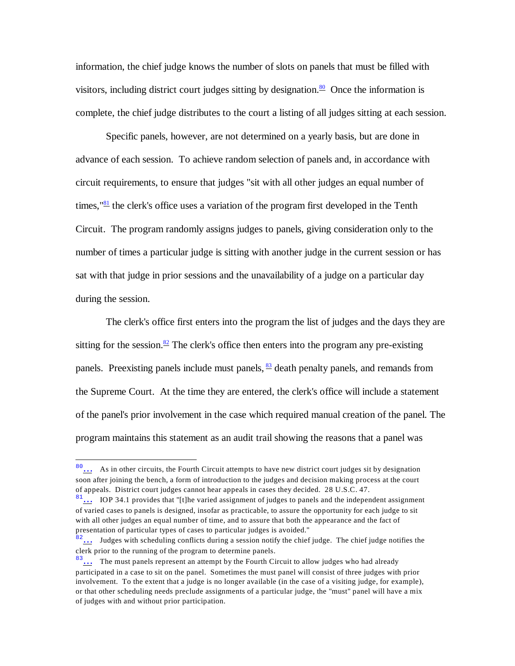<span id="page-15-0"></span>information, the chief judge knows the number of slots on panels that must be filled with visitors, including district court judges sitting by designation. $80$  Once the information is complete, the chief judge distributes to the court a listing of all judges sitting at each session.

<span id="page-15-1"></span>Specific panels, however, are not determined on a yearly basis, but are done in advance of each session. To achieve random selection of panels and, in accordance with circuit requirements, to ensure that judges "sit with all other judges an equal number of times,  $\frac{181}{2}$  $\frac{181}{2}$  $\frac{181}{2}$  the clerk's office uses a variation of the program first developed in the Tenth Circuit. The program randomly assigns judges to panels, giving consideration only to the number of times a particular judge is sitting with another judge in the current session or has sat with that judge in prior sessions and the unavailability of a judge on a particular day during the session.

<span id="page-15-3"></span><span id="page-15-2"></span>The clerk's office first enters into the program the list of judges and the days they are sitting for the session.<sup>[82](#page-15-6)</sup> The clerk's office then enters into the program any pre-existing panels. Preexisting panels include must panels,  $\frac{83}{2}$  $\frac{83}{2}$  $\frac{83}{2}$  death penalty panels, and remands from the Supreme Court. At the time they are entered, the clerk's office will include a statement of the panel's prior involvement in the case which required manual creation of the panel. The program maintains this statement as an audit trail showing the reasons that a panel was

<span id="page-15-4"></span><sup>80</sup>[…](#page-15-0) As in other circuits, the Fourth Circuit attempts to have new district court judges sit by designation soon after joining the bench, a form of introduction to the judges and decision making process at the court of appeals. District court judges cannot hear appeals in cases they decided. 28 U.S.C. 47.

<span id="page-15-5"></span> $81...$  IOP 34.1 provides that "[t]he varied assignment of judges to panels and the independent assignment of varied cases to panels is designed, insofar as practicable, to assure the opportunity for each judge to sit with all other judges an equal number of time, and to assure that both the appearance and the fact of presentation of particular types of cases to particular judges is avoided."

<span id="page-15-6"></span><sup>&</sup>lt;sup>82</sup>... Judges with scheduling conflicts during a session notify the chief judge. The chief judge notifies the clerk prior to the running of the program to determine panels.

<span id="page-15-7"></span><sup>83...</sup> The must panels represent an attempt by the Fourth Circuit to allow judges who had already participated in a case to sit on the panel. Sometimes the must panel will consist of three judges with prior involvement. To the extent that a judge is no longer available (in the case of a visiting judge, for example), or that other scheduling needs preclude assignments of a particular judge, the "must" panel will have a mix of judges with and without prior participation.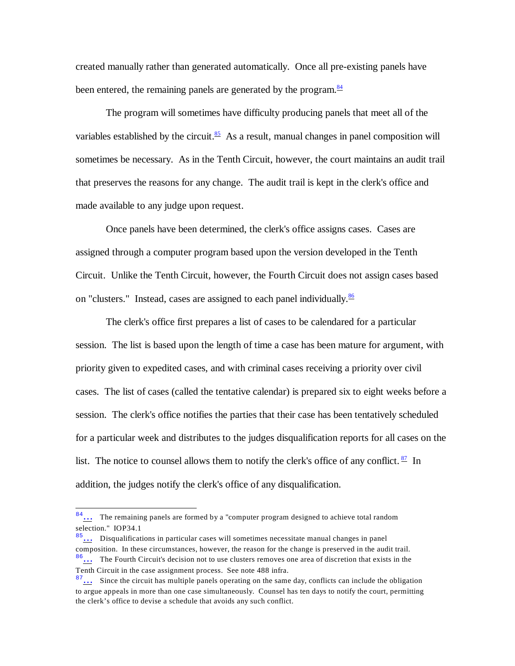<span id="page-16-0"></span>created manually rather than generated automatically. Once all pre-existing panels have been entered, the remaining panels are generated by the program.<sup>[84](#page-16-4)</sup>

<span id="page-16-1"></span>The program will sometimes have difficulty producing panels that meet all of the variables established by the circuit.<sup>[85](#page-16-5)</sup> As a result, manual changes in panel composition will sometimes be necessary. As in the Tenth Circuit, however, the court maintains an audit trail that preserves the reasons for any change. The audit trail is kept in the clerk's office and made available to any judge upon request.

Once panels have been determined, the clerk's office assigns cases. Cases are assigned through a computer program based upon the version developed in the Tenth Circuit. Unlike the Tenth Circuit, however, the Fourth Circuit does not assign cases based on "clusters." Instead, cases are assigned to each panel individually. $\frac{86}{5}$  $\frac{86}{5}$  $\frac{86}{5}$ 

<span id="page-16-2"></span>The clerk's office first prepares a list of cases to be calendared for a particular session. The list is based upon the length of time a case has been mature for argument, with priority given to expedited cases, and with criminal cases receiving a priority over civil cases. The list of cases (called the tentative calendar) is prepared six to eight weeks before a session. The clerk's office notifies the parties that their case has been tentatively scheduled for a particular week and distributes to the judges disqualification reports for all cases on the list. The notice to counsel allows them to notify the clerk's office of any conflict.  $\frac{87}{10}$  $\frac{87}{10}$  $\frac{87}{10}$  In addition, the judges notify the clerk's office of any disqualification.

<span id="page-16-4"></span><span id="page-16-3"></span><sup>&</sup>lt;sup>84</sup>... The remaining panels are formed by a "computer program designed to achieve total random selection." IOP34.1

<span id="page-16-6"></span><span id="page-16-5"></span><sup>85</sup>[…](#page-16-1) Disqualifications in particular cases will sometimes necessitate manual changes in panel composition. In these circumstances, however, the reason for the change is preserved in the audit trail. <sup>86</sup>[…](#page-16-2) The Fourth Circuit's decision not to use clusters removes one area of discretion that exists in the Tenth Circuit in the case assignment process. See note 488 infra.

<span id="page-16-7"></span> $87...$  Since the circuit has multiple panels operating on the same day, conflicts can include the obligation to argue appeals in more than one case simultaneously. Counsel has ten days to notify the court, permitting the clerk's office to devise a schedule that avoids any such conflict.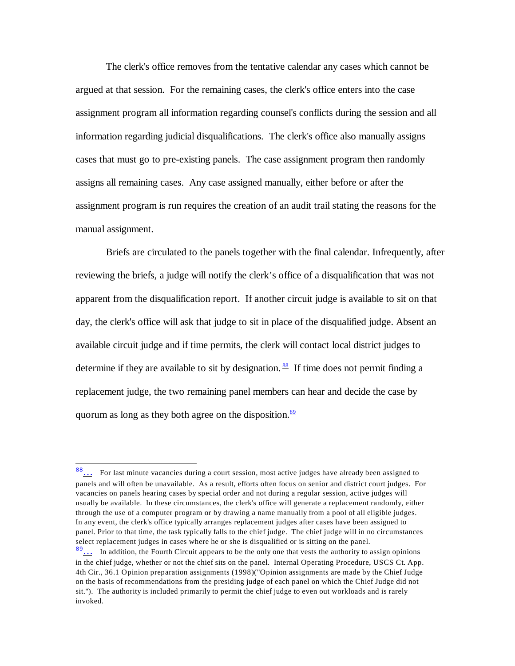The clerk's office removes from the tentative calendar any cases which cannot be argued at that session. For the remaining cases, the clerk's office enters into the case assignment program all information regarding counsel's conflicts during the session and all information regarding judicial disqualifications. The clerk's office also manually assigns cases that must go to pre-existing panels. The case assignment program then randomly assigns all remaining cases. Any case assigned manually, either before or after the assignment program is run requires the creation of an audit trail stating the reasons for the manual assignment.

Briefs are circulated to the panels together with the final calendar. Infrequently, after reviewing the briefs, a judge will notify the clerk's office of a disqualification that was not apparent from the disqualification report. If another circuit judge is available to sit on that day, the clerk's office will ask that judge to sit in place of the disqualified judge. Absent an available circuit judge and if time permits, the clerk will contact local district judges to determine if they are available to sit by designation.  $\frac{88}{15}$  $\frac{88}{15}$  $\frac{88}{15}$  If time does not permit finding a replacement judge, the two remaining panel members can hear and decide the case by quorum as long as they both agree on the disposition.<sup>[89](#page-17-3)</sup>

<span id="page-17-2"></span><span id="page-17-1"></span><span id="page-17-0"></span><sup>88</sup>[…](#page-17-0) For last minute vacancies during a court session, most active judges have already been assigned to panels and will often be unavailable. As a result, efforts often focus on senior and district court judges. For vacancies on panels hearing cases by special order and not during a regular session, active judges will usually be available. In these circumstances, the clerk's office will generate a replacement randomly, either through the use of a computer program or by drawing a name manually from a pool of all eligible judges. In any event, the clerk's office typically arranges replacement judges after cases have been assigned to panel. Prior to that time, the task typically falls to the chief judge. The chief judge will in no circumstances select replacement judges in cases where he or she is disqualified or is sitting on the panel.

<span id="page-17-3"></span> $89...$  In addition, the Fourth Circuit appears to be the only one that vests the authority to assign opinions in the chief judge, whether or not the chief sits on the panel. Internal Operating Procedure, USCS Ct. App. 4th Cir., 36.1 Opinion preparation assignments (1998)("Opinion assignments are made by the Chief Judge on the basis of recommendations from the presiding judge of each panel on which the Chief Judge did not sit."). The authority is included primarily to permit the chief judge to even out workloads and is rarely invoked.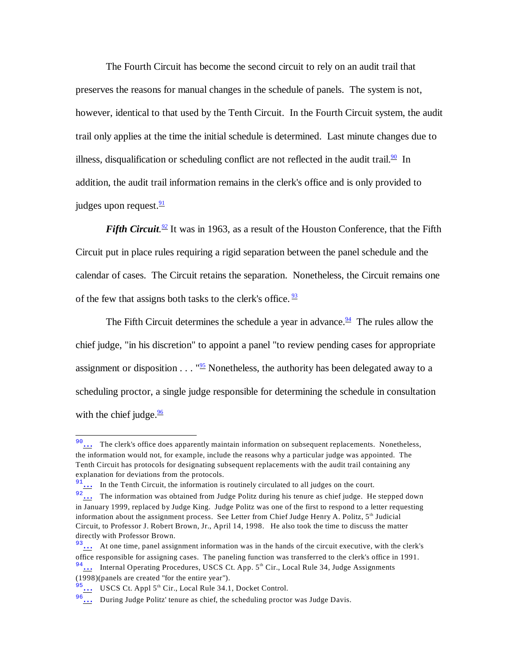The Fourth Circuit has become the second circuit to rely on an audit trail that preserves the reasons for manual changes in the schedule of panels. The system is not, however, identical to that used by the Tenth Circuit. In the Fourth Circuit system, the audit trail only applies at the time the initial schedule is determined. Last minute changes due to illness, disqualification or scheduling conflict are not reflected in the audit trail.<sup>[90](#page-18-7)</sup> In addition, the audit trail information remains in the clerk's office and is only provided to judges upon request. $\frac{91}{2}$  $\frac{91}{2}$  $\frac{91}{2}$ 

<span id="page-18-2"></span><span id="page-18-1"></span><span id="page-18-0"></span>*Fifth Circuit.* <sup>22</sup> It was in 1963, as a result of the Houston Conference, that the Fifth Circuit put in place rules requiring a rigid separation between the panel schedule and the calendar of cases. The Circuit retains the separation. Nonetheless, the Circuit remains one of the few that assigns both tasks to the clerk's office.  $\frac{93}{2}$  $\frac{93}{2}$  $\frac{93}{2}$ 

<span id="page-18-5"></span><span id="page-18-4"></span><span id="page-18-3"></span>The Fifth Circuit determines the schedule a year in advance.<sup>[94](#page-18-11)</sup> The rules allow the chief judge, "in his discretion" to appoint a panel "to review pending cases for appropriate assignment or disposition  $\dots$  "<sup>[95](#page-18-12)</sup> Nonetheless, the authority has been delegated away to a scheduling proctor, a single judge responsible for determining the schedule in consultation with the chief judge. $\frac{96}{6}$  $\frac{96}{6}$  $\frac{96}{6}$ 

<span id="page-18-7"></span><span id="page-18-6"></span><sup>&</sup>lt;sup>90</sup>[…](#page-18-0) The clerk's office does apparently maintain information on subsequent replacements. Nonetheless, the information would not, for example, include the reasons why a particular judge was appointed. The Tenth Circuit has protocols for designating subsequent replacements with the audit trail containing any explanation for deviations from the protocols.

<span id="page-18-8"></span> $\frac{91}{11}$  In the Tenth Circuit, the information is routinely circulated to all judges on the court.

<span id="page-18-9"></span><sup>&</sup>lt;sup>92</sup>... The information was obtained from Judge Politz during his tenure as chief judge. He stepped down in January 1999, replaced by Judge King. Judge Politz was one of the first to respond to a letter requesting information about the assignment process. See Letter from Chief Judge Henry A. Politz,  $5<sup>th</sup>$  Judicial Circuit, to Professor J. Robert Brown, Jr., April 14, 1998. He also took the time to discuss the matter directly with Professor Brown.

<span id="page-18-10"></span><sup>&</sup>lt;sup>93</sup>[…](#page-18-3) At one time, panel assignment information was in the hands of the circuit executive, with the clerk's office responsible for assigning cases. The paneling function was transferred to the clerk's office in 1991.

<span id="page-18-11"></span> $94$ ... Internal Operating Procedures, USCS Ct. App.  $5<sup>th</sup>$  Cir., Local Rule 34, Judge Assignments

<sup>(1998)(</sup>panels are created "for the entire year").

<span id="page-18-12"></span> $\frac{5}{2}$ ... USCS Ct. Appl 5<sup>th</sup> Cir., Local Rule 34.1, Docket Control.

<span id="page-18-13"></span><sup>96</sup>[…](#page-18-6) During Judge Politz' tenure as chief, the scheduling proctor was Judge Davis.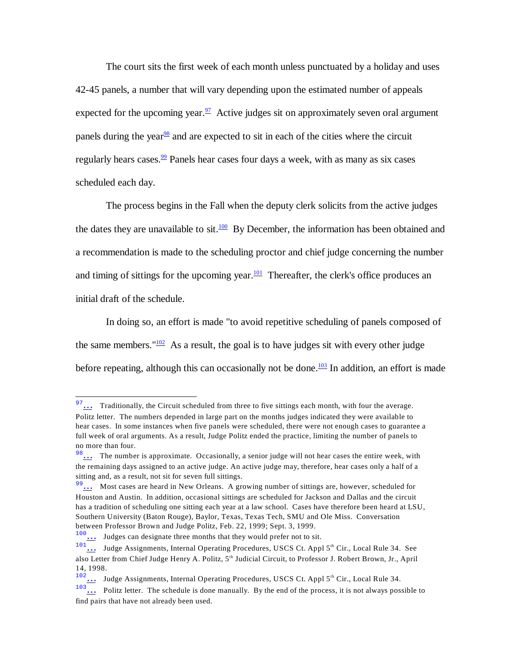<span id="page-19-1"></span><span id="page-19-0"></span>The court sits the first week of each month unless punctuated by a holiday and uses 42-45 panels, a number that will vary depending upon the estimated number of appeals expected for the upcoming year.  $\frac{97}{7}$  $\frac{97}{7}$  $\frac{97}{7}$  Active judges sit on approximately seven oral argument panels during the year  $\frac{98}{8}$  $\frac{98}{8}$  $\frac{98}{8}$  and are expected to sit in each of the cities where the circuit regularly hears cases.<sup>[99](#page-19-9)</sup> Panels hear cases four days a week, with as many as six cases scheduled each day.

<span id="page-19-3"></span><span id="page-19-2"></span>The process begins in the Fall when the deputy clerk solicits from the active judges the dates they are unavailable to sit.<sup>[100](#page-19-10)</sup> By December, the information has been obtained and a recommendation is made to the scheduling proctor and chief judge concerning the number and timing of sittings for the upcoming year.<sup>[101](#page-19-11)</sup> Thereafter, the clerk's office produces an initial draft of the schedule.

<span id="page-19-5"></span><span id="page-19-4"></span>In doing so, an effort is made "to avoid repetitive scheduling of panels composed of the same members.  $102$  As a result, the goal is to have judges sit with every other judge before repeating, although this can occasionally not be done.<sup>[103](#page-19-13)</sup> In addition, an effort is made

<span id="page-19-7"></span><span id="page-19-6"></span><sup>&</sup>lt;sup>97</sup>[…](#page-19-0) Traditionally, the Circuit scheduled from three to five sittings each month, with four the average. Politz letter. The numbers depended in large part on the months judges indicated they were available to hear cases. In some instances when five panels were scheduled, there were not enough cases to guarantee a full week of oral arguments. As a result, Judge Politz ended the practice, limiting the number of panels to no more than four.

<span id="page-19-8"></span><sup>98</sup>[…](#page-19-1) The number is approximate. Occasionally, a senior judge will not hear cases the entire week, with the remaining days assigned to an active judge. An active judge may, therefore, hear cases only a half of a sitting and, as a result, not sit for seven full sittings.

<span id="page-19-9"></span><sup>&</sup>lt;sup>99</sup>[…](#page-19-2) Most cases are heard in New Orleans. A growing number of sittings are, however, scheduled for Houston and Austin. In addition, occasional sittings are scheduled for Jackson and Dallas and the circuit has a tradition of scheduling one sitting each year at a law school. Cases have therefore been heard at LSU, Southern University (Baton Rouge), Baylor, Texas, Texas Tech, SMU and Ole Miss. Conversation between Professor Brown and Judge Politz, Feb. 22, 1999; Sept. 3, 1999.

<span id="page-19-10"></span> $\frac{100}{101}$  Judges can designate three months that they would prefer not to sit.<br>
Indee Assignments, Internal Operating Presedings, USCS Ct. 1,

<span id="page-19-11"></span><sup>1011.</sup> Judge Assignments, Internal Operating Procedures, USCS Ct. Appl 5<sup>th</sup> Cir., Local Rule 34. See also Letter from Chief Judge Henry A. Politz, 5<sup>th</sup> Judicial Circuit, to Professor J. Robert Brown, Jr., April 14, 1998.

<span id="page-19-12"></span><sup>&</sup>lt;sup>102</sup>... Judge Assignments, Internal Operating Procedures, USCS Ct. Appl 5<sup>th</sup> Cir., Local Rule 34.<br><sup>103</sup> Politz letter. The schedule is done manually. By the end of the process, it is not always poss

<span id="page-19-13"></span><sup>103.</sup> Politz letter. The schedule is done manually. By the end of the process, it is not always possible to find pairs that have not already been used.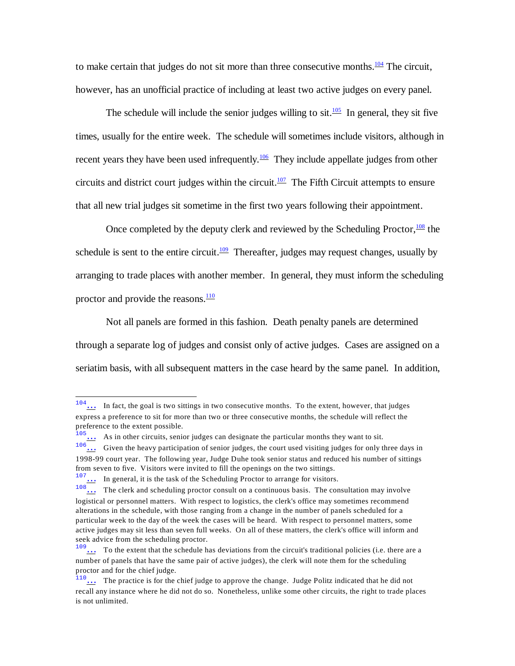<span id="page-20-0"></span>to make certain that judges do not sit more than three consecutive months. $\frac{104}{104}$  $\frac{104}{104}$  $\frac{104}{104}$  The circuit, however, has an unofficial practice of including at least two active judges on every panel.

<span id="page-20-2"></span><span id="page-20-1"></span>The schedule will include the senior judges willing to sit.<sup>[105](#page-20-8)</sup> In general, they sit five times, usually for the entire week. The schedule will sometimes include visitors, although in recent years they have been used infrequently.<sup>[106](#page-20-9)</sup> They include appellate judges from other circuits and district court judges within the circuit.<sup>[107](#page-20-10)</sup> The Fifth Circuit attempts to ensure that all new trial judges sit sometime in the first two years following their appointment.

<span id="page-20-5"></span><span id="page-20-4"></span><span id="page-20-3"></span>Once completed by the deputy clerk and reviewed by the Scheduling Proctor,  $\frac{108}{108}$  $\frac{108}{108}$  $\frac{108}{108}$  the schedule is sent to the entire circuit. $\frac{109}{102}$  $\frac{109}{102}$  $\frac{109}{102}$  Thereafter, judges may request changes, usually by arranging to trade places with another member. In general, they must inform the scheduling proctor and provide the reasons. $\frac{110}{10}$  $\frac{110}{10}$  $\frac{110}{10}$ 

<span id="page-20-6"></span>Not all panels are formed in this fashion. Death penalty panels are determined through a separate log of judges and consist only of active judges. Cases are assigned on a seriatim basis, with all subsequent matters in the case heard by the same panel. In addition,

<span id="page-20-7"></span><sup>&</sup>lt;sup>104</sup>[…](#page-20-0) In fact, the goal is two sittings in two consecutive months. To the extent, however, that judges express a preference to sit for more than two or three consecutive months, the schedule will reflect the preference to the extent possible.

<span id="page-20-8"></span> $\frac{105}{105}$  As in other circuits, senior judges can designate the particular months they want to sit.

<span id="page-20-9"></span> $\frac{106}{10}$  Given the heavy participation of senior judges, the court used visiting judges for only three days in 1998-99 court year. The following year, Judge Duhe took senior status and reduced his number of sittings from seven to five. Visitors were invited to fill the openings on the two sittings.

<span id="page-20-10"></span> $\frac{107...}{108}$  In general, it is the task of the Scheduling Proctor to arrange for visitors.

<span id="page-20-11"></span><sup>1.18</sup> The clerk and scheduling proctor consult on a continuous basis. The consultation may involve logistical or personnel matters. With respect to logistics, the clerk's office may sometimes recommend alterations in the schedule, with those ranging from a change in the number of panels scheduled for a particular week to the day of the week the cases will be heard. With respect to personnel matters, some active judges may sit less than seven full weeks. On all of these matters, the clerk's office will inform and seek advice from the scheduling proctor.

<span id="page-20-12"></span><sup>&</sup>lt;sup>109</sup>[…](#page-20-5) To the extent that the schedule has deviations from the circuit's traditional policies (i.e. there are a number of panels that have the same pair of active judges), the clerk will note them for the scheduling proctor and for the chief judge.

<span id="page-20-13"></span><sup>&</sup>lt;sup>110</sup>... The practice is for the chief judge to approve the change. Judge Politz indicated that he did not recall any instance where he did not do so. Nonetheless, unlike some other circuits, the right to trade places is not unlimited.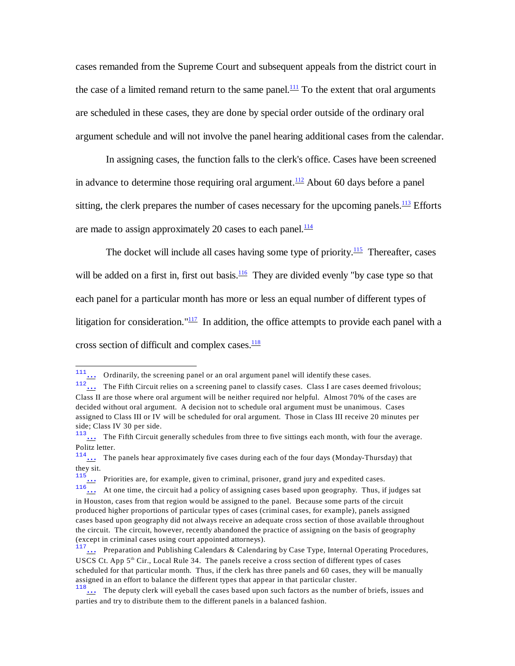<span id="page-21-0"></span>cases remanded from the Supreme Court and subsequent appeals from the district court in the case of a limited remand return to the same panel.<sup>[111](#page-21-8)</sup> To the extent that oral arguments are scheduled in these cases, they are done by special order outside of the ordinary oral argument schedule and will not involve the panel hearing additional cases from the calendar.

<span id="page-21-2"></span><span id="page-21-1"></span>In assigning cases, the function falls to the clerk's office. Cases have been screened in advance to determine those requiring oral argument. $\frac{112}{2}$  $\frac{112}{2}$  $\frac{112}{2}$  About 60 days before a panel sitting, the clerk prepares the number of cases necessary for the upcoming panels. $\frac{113}{113}$  $\frac{113}{113}$  $\frac{113}{113}$  Efforts are made to assign approximately 20 cases to each panel. $\frac{114}{114}$  $\frac{114}{114}$  $\frac{114}{114}$ 

<span id="page-21-5"></span><span id="page-21-4"></span><span id="page-21-3"></span>The docket will include all cases having some type of priority.<sup>[115](#page-21-12)</sup> Thereafter, cases will be added on a first in, first out basis. $\frac{116}{10}$  $\frac{116}{10}$  $\frac{116}{10}$  They are divided evenly "by case type so that each panel for a particular month has more or less an equal number of different types of litigation for consideration." $\frac{117}{2}$  $\frac{117}{2}$  $\frac{117}{2}$  In addition, the office attempts to provide each panel with a cross section of difficult and complex cases. $\frac{118}{118}$  $\frac{118}{118}$  $\frac{118}{118}$ 

<span id="page-21-12"></span><sup>115</sup><sub>[…](#page-21-4)</sub> Priorities are, for example, given to criminal, prisoner, grand jury and expedited cases.

<span id="page-21-8"></span><span id="page-21-7"></span><span id="page-21-6"></span> $\frac{111}{11}$  ... Ordinarily, the screening panel or an oral argument panel will identify these cases.

<span id="page-21-9"></span> $\frac{112}{\ldots}$  The Fifth Circuit relies on a screening panel to classify cases. Class I are cases deemed frivolous; Class II are those where oral argument will be neither required nor helpful. Almost 70% of the cases are decided without oral argument. A decision not to schedule oral argument must be unanimous. Cases assigned to Class III or IV will be scheduled for oral argument. Those in Class III receive 20 minutes per side; Class IV 30 per side.

<span id="page-21-10"></span><sup>&</sup>lt;sup>113</sup>... The Fifth Circuit generally schedules from three to five sittings each month, with four the average. Politz letter.

<span id="page-21-11"></span> $114...$  The panels hear approximately five cases during each of the four days (Monday-Thursday) that they sit.

<span id="page-21-13"></span> $\frac{116}{\ldots}$  At one time, the circuit had a policy of assigning cases based upon geography. Thus, if judges sat in Houston, cases from that region would be assigned to the panel. Because some parts of the circuit produced higher proportions of particular types of cases (criminal cases, for example), panels assigned cases based upon geography did not always receive an adequate cross section of those available throughout the circuit. The circuit, however, recently abandoned the practice of assigning on the basis of geography (except in criminal cases using court appointed attorneys).

<span id="page-21-14"></span> $\frac{7}{111}$  Preparation and Publishing Calendars & Calendaring by Case Type, Internal Operating Procedures, USCS Ct. App  $5<sup>th</sup>$  Cir., Local Rule 34. The panels receive a cross section of different types of cases scheduled for that particular month. Thus, if the clerk has three panels and 60 cases, they will be manually assigned in an effort to balance the different types that appear in that particular cluster.

<span id="page-21-15"></span> $\frac{118}{118}$  The deputy clerk will eyeball the cases based upon such factors as the number of briefs, issues and parties and try to distribute them to the different panels in a balanced fashion.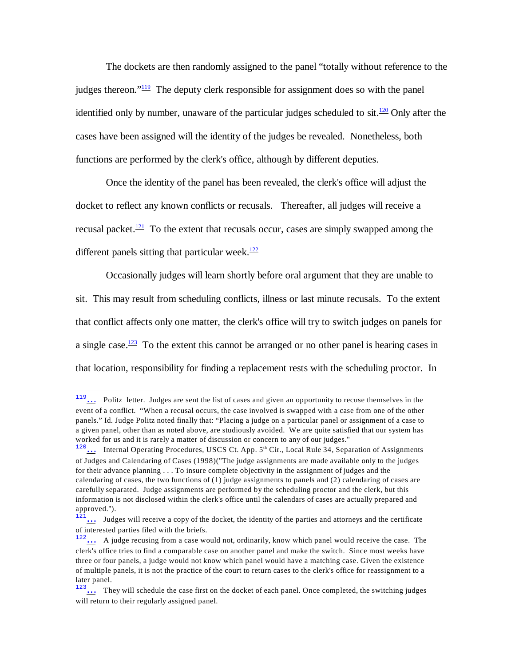<span id="page-22-1"></span><span id="page-22-0"></span>The dockets are then randomly assigned to the panel "totally without reference to the judges thereon." $\frac{119}{12}$  $\frac{119}{12}$  $\frac{119}{12}$  The deputy clerk responsible for assignment does so with the panel identified only by number, unaware of the particular judges scheduled to sit.<sup>[120](#page-22-6)</sup> Only after the cases have been assigned will the identity of the judges be revealed. Nonetheless, both functions are performed by the clerk's office, although by different deputies.

<span id="page-22-2"></span>Once the identity of the panel has been revealed, the clerk's office will adjust the docket to reflect any known conflicts or recusals. Thereafter, all judges will receive a recusal packet.<sup>[121](#page-22-7)</sup> To the extent that recusals occur, cases are simply swapped among the different panels sitting that particular week. $\frac{122}{2}$  $\frac{122}{2}$  $\frac{122}{2}$ 

<span id="page-22-3"></span>Occasionally judges will learn shortly before oral argument that they are unable to sit. This may result from scheduling conflicts, illness or last minute recusals. To the extent that conflict affects only one matter, the clerk's office will try to switch judges on panels for a single case.<sup>[123](#page-22-9)</sup> To the extent this cannot be arranged or no other panel is hearing cases in that location, responsibility for finding a replacement rests with the scheduling proctor. In

<span id="page-22-5"></span><span id="page-22-4"></span><sup>119</sup>[…](#page-22-0) Politz letter. Judges are sent the list of cases and given an opportunity to recuse themselves in the event of a conflict. "When a recusal occurs, the case involved is swapped with a case from one of the other panels." Id. Judge Politz noted finally that: "Placing a judge on a particular panel or assignment of a case to a given panel, other than as noted above, are studiously avoided. We are quite satisfied that our system has worked for us and it is rarely a matter of discussion or concern to any of our judges."

<span id="page-22-6"></span><sup>120...</sup> Internal Operating Procedures, USCS Ct. App. 5<sup>th</sup> Cir., Local Rule 34, Separation of Assignments of Judges and Calendaring of Cases (1998)("The judge assignments are made available only to the judges for their advance planning . . . To insure complete objectivity in the assignment of judges and the calendaring of cases, the two functions of (1) judge assignments to panels and (2) calendaring of cases are carefully separated. Judge assignments are performed by the scheduling proctor and the clerk, but this information is not disclosed within the clerk's office until the calendars of cases are actually prepared and approved.").

<span id="page-22-7"></span> $121...$  Judges will receive a copy of the docket, the identity of the parties and attorneys and the certificate of interested parties filed with the briefs.

<span id="page-22-8"></span> $122...$  A judge recusing from a case would not, ordinarily, know which panel would receive the case. The clerk's office tries to find a comparable case on another panel and make the switch. Since most weeks have three or four panels, a judge would not know which panel would have a matching case. Given the existence of multiple panels, it is not the practice of the court to return cases to the clerk's office for reassignment to a later panel.

<span id="page-22-9"></span> $123...$  They will schedule the case first on the docket of each panel. Once completed, the switching judges will return to their regularly assigned panel.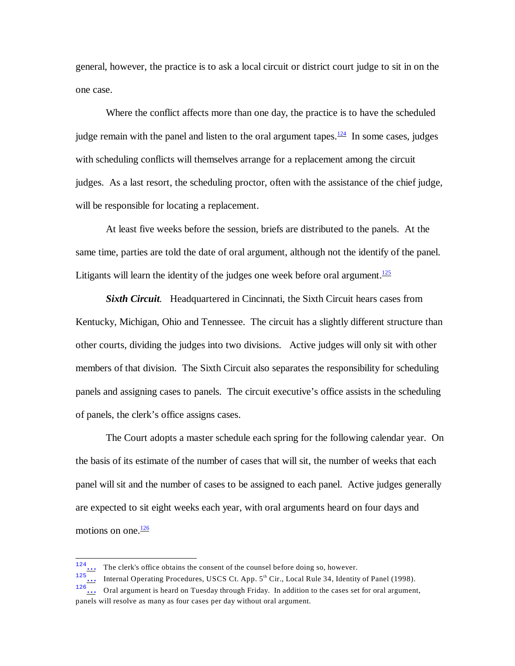general, however, the practice is to ask a local circuit or district court judge to sit in on the one case.

<span id="page-23-0"></span>Where the conflict affects more than one day, the practice is to have the scheduled judge remain with the panel and listen to the oral argument tapes. $\frac{124}{12}$  $\frac{124}{12}$  $\frac{124}{12}$  In some cases, judges with scheduling conflicts will themselves arrange for a replacement among the circuit judges. As a last resort, the scheduling proctor, often with the assistance of the chief judge, will be responsible for locating a replacement.

At least five weeks before the session, briefs are distributed to the panels. At the same time, parties are told the date of oral argument, although not the identify of the panel. Litigants will learn the identity of the judges one week before oral argument.<sup>[125](#page-23-4)</sup>

<span id="page-23-1"></span>*Sixth Circuit.* Headquartered in Cincinnati, the Sixth Circuit hears cases from Kentucky, Michigan, Ohio and Tennessee. The circuit has a slightly different structure than other courts, dividing the judges into two divisions. Active judges will only sit with other members of that division. The Sixth Circuit also separates the responsibility for scheduling panels and assigning cases to panels. The circuit executive's office assists in the scheduling of panels, the clerk's office assigns cases.

The Court adopts a master schedule each spring for the following calendar year. On the basis of its estimate of the number of cases that will sit, the number of weeks that each panel will sit and the number of cases to be assigned to each panel. Active judges generally are expected to sit eight weeks each year, with oral arguments heard on four days and motions on one. $\frac{126}{126}$  $\frac{126}{126}$  $\frac{126}{126}$ 

<span id="page-23-3"></span><span id="page-23-2"></span> $124...$  The clerk's office obtains the consent of the counsel before doing so, however.

<span id="page-23-4"></span> $125...$  Internal Operating Procedures, USCS Ct. App.  $5<sup>th</sup>$  Cir., Local Rule 34, Identity of Panel (1998).

<span id="page-23-5"></span><sup>126</sup>[…](#page-23-2) Oral argument is heard on Tuesday through Friday. In addition to the cases set for oral argument, panels will resolve as many as four cases per day without oral argument.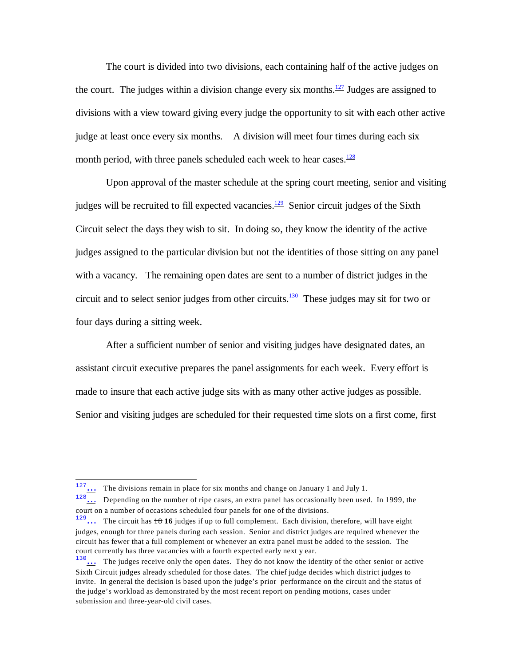<span id="page-24-0"></span>The court is divided into two divisions, each containing half of the active judges on the court. The judges within a division change every six months.<sup>[127](#page-24-4)</sup> Judges are assigned to divisions with a view toward giving every judge the opportunity to sit with each other active judge at least once every six months. A division will meet four times during each six month period, with three panels scheduled each week to hear cases.<sup>[128](#page-24-5)</sup>

<span id="page-24-2"></span><span id="page-24-1"></span>Upon approval of the master schedule at the spring court meeting, senior and visiting judges will be recruited to fill expected vacancies. $\frac{129}{2}$  $\frac{129}{2}$  $\frac{129}{2}$  Senior circuit judges of the Sixth Circuit select the days they wish to sit. In doing so, they know the identity of the active judges assigned to the particular division but not the identities of those sitting on any panel with a vacancy. The remaining open dates are sent to a number of district judges in the circuit and to select senior judges from other circuits. $\frac{130}{130}$  $\frac{130}{130}$  $\frac{130}{130}$  These judges may sit for two or four days during a sitting week.

<span id="page-24-3"></span>After a sufficient number of senior and visiting judges have designated dates, an assistant circuit executive prepares the panel assignments for each week. Every effort is made to insure that each active judge sits with as many other active judges as possible. Senior and visiting judges are scheduled for their requested time slots on a first come, first

<span id="page-24-4"></span> $127...$  The divisions remain in place for six months and change on January 1 and July 1.

<span id="page-24-5"></span><sup>&</sup>lt;sup>128</sup>[…](#page-24-1) Depending on the number of ripe cases, an extra panel has occasionally been used. In 1999, the court on a number of occasions scheduled four panels for one of the divisions.

<span id="page-24-6"></span><sup>&</sup>lt;sup>129</sup>[…](#page-24-2) The circuit has  $\pm 8$  16 judges if up to full complement. Each division, therefore, will have eight judges, enough for three panels during each session. Senior and district judges are required whenever the circuit has fewer that a full complement or whenever an extra panel must be added to the session. The court currently has three vacancies with a fourth expected early next y ear.

<span id="page-24-7"></span><sup>&</sup>lt;sup>130</sup>... The judges receive only the open dates. They do not know the identity of the other senior or active Sixth Circuit judges already scheduled for those dates. The chief judge decides which district judges to invite. In general the decision is based upon the judge's prior performance on the circuit and the status of the judge's workload as demonstrated by the most recent report on pending motions, cases under submission and three-year-old civil cases.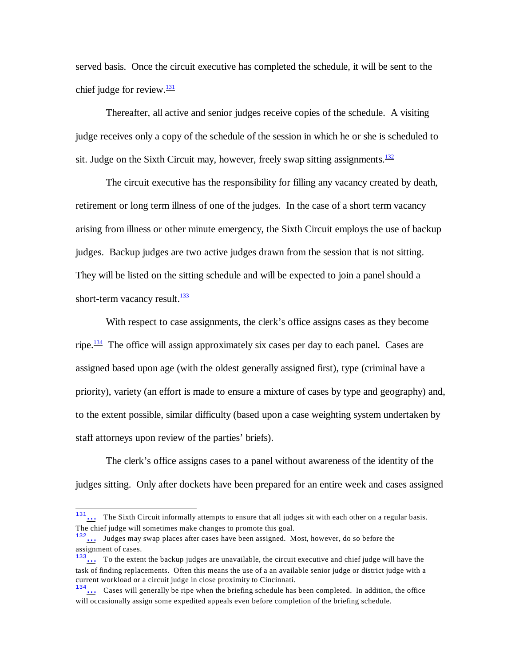<span id="page-25-0"></span>served basis. Once the circuit executive has completed the schedule, it will be sent to the chief judge for review. $\frac{131}{2}$  $\frac{131}{2}$  $\frac{131}{2}$ 

Thereafter, all active and senior judges receive copies of the schedule. A visiting judge receives only a copy of the schedule of the session in which he or she is scheduled to sit. Judge on the Sixth Circuit may, however, freely swap sitting assignments. $132$ 

<span id="page-25-1"></span>The circuit executive has the responsibility for filling any vacancy created by death, retirement or long term illness of one of the judges. In the case of a short term vacancy arising from illness or other minute emergency, the Sixth Circuit employs the use of backup judges. Backup judges are two active judges drawn from the session that is not sitting. They will be listed on the sitting schedule and will be expected to join a panel should a short-term vacancy result. $\frac{133}{132}$  $\frac{133}{132}$  $\frac{133}{132}$ 

<span id="page-25-3"></span><span id="page-25-2"></span>With respect to case assignments, the clerk's office assigns cases as they become ripe.<sup>[134](#page-25-7)</sup> The office will assign approximately six cases per day to each panel. Cases are assigned based upon age (with the oldest generally assigned first), type (criminal have a priority), variety (an effort is made to ensure a mixture of cases by type and geography) and, to the extent possible, similar difficulty (based upon a case weighting system undertaken by staff attorneys upon review of the parties' briefs).

The clerk's office assigns cases to a panel without awareness of the identity of the judges sitting. Only after dockets have been prepared for an entire week and cases assigned

<span id="page-25-4"></span><sup>&</sup>lt;sup>131</sup>[…](#page-25-0) The Sixth Circuit informally attempts to ensure that all judges sit with each other on a regular basis. The chief judge will sometimes make changes to promote this goal.

<span id="page-25-5"></span><sup>&</sup>lt;sup>132</sup>... Judges may swap places after cases have been assigned. Most, however, do so before the assignment of cases.

<span id="page-25-6"></span><sup>&</sup>lt;sup>133</sup>... To the extent the backup judges are unavailable, the circuit executive and chief judge will have the task of finding replacements. Often this means the use of a an available senior judge or district judge with a current workload or a circuit judge in close proximity to Cincinnati.

<span id="page-25-7"></span> $134...$  Cases will generally be ripe when the briefing schedule has been completed. In addition, the office will occasionally assign some expedited appeals even before completion of the briefing schedule.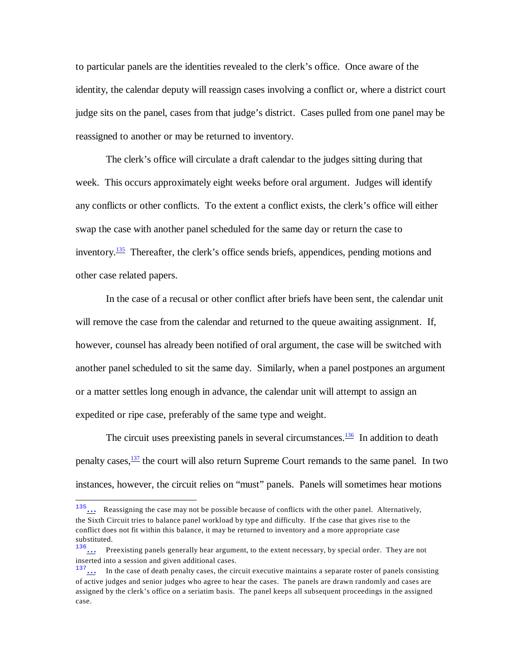to particular panels are the identities revealed to the clerk's office. Once aware of the identity, the calendar deputy will reassign cases involving a conflict or, where a district court judge sits on the panel, cases from that judge's district. Cases pulled from one panel may be reassigned to another or may be returned to inventory.

The clerk's office will circulate a draft calendar to the judges sitting during that week. This occurs approximately eight weeks before oral argument. Judges will identify any conflicts or other conflicts. To the extent a conflict exists, the clerk's office will either swap the case with another panel scheduled for the same day or return the case to inventory. $\frac{135}{125}$  $\frac{135}{125}$  $\frac{135}{125}$  Thereafter, the clerk's office sends briefs, appendices, pending motions and other case related papers.

<span id="page-26-0"></span>In the case of a recusal or other conflict after briefs have been sent, the calendar unit will remove the case from the calendar and returned to the queue awaiting assignment. If, however, counsel has already been notified of oral argument, the case will be switched with another panel scheduled to sit the same day. Similarly, when a panel postpones an argument or a matter settles long enough in advance, the calendar unit will attempt to assign an expedited or ripe case, preferably of the same type and weight.

<span id="page-26-2"></span><span id="page-26-1"></span>The circuit uses preexisting panels in several circumstances.<sup>[136](#page-26-4)</sup> In addition to death penalty cases,  $\frac{137}{12}$  $\frac{137}{12}$  $\frac{137}{12}$  the court will also return Supreme Court remands to the same panel. In two instances, however, the circuit relies on "must" panels. Panels will sometimes hear motions

<span id="page-26-3"></span><sup>&</sup>lt;sup>135</sup>... Reassigning the case may not be possible because of conflicts with the other panel. Alternatively, the Sixth Circuit tries to balance panel workload by type and difficulty. If the case that gives rise to the conflict does not fit within this balance, it may be returned to inventory and a more appropriate case substituted.

<span id="page-26-4"></span><sup>&</sup>lt;sup>136</sup>... Preexisting panels generally hear argument, to the extent necessary, by special order. They are not inserted into a session and given additional cases.

<span id="page-26-5"></span><sup>&</sup>lt;sup>137</sup>[…](#page-26-2) In the case of death penalty cases, the circuit executive maintains a separate roster of panels consisting of active judges and senior judges who agree to hear the cases. The panels are drawn randomly and cases are assigned by the clerk's office on a seriatim basis. The panel keeps all subsequent proceedings in the assigned case.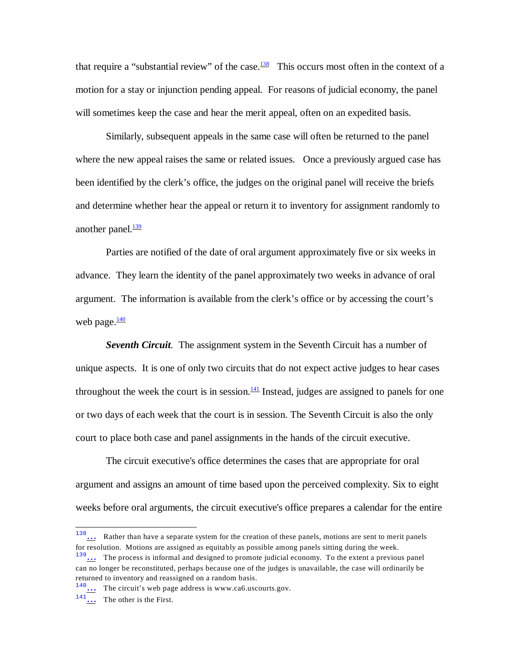<span id="page-27-0"></span>that require a "substantial review" of the case. $\frac{138}{128}$  $\frac{138}{128}$  $\frac{138}{128}$  This occurs most often in the context of a motion for a stay or injunction pending appeal. For reasons of judicial economy, the panel will sometimes keep the case and hear the merit appeal, often on an expedited basis.

Similarly, subsequent appeals in the same case will often be returned to the panel where the new appeal raises the same or related issues. Once a previously argued case has been identified by the clerk's office, the judges on the original panel will receive the briefs and determine whether hear the appeal or return it to inventory for assignment randomly to another panel. $\frac{139}{2}$  $\frac{139}{2}$  $\frac{139}{2}$ 

<span id="page-27-1"></span>Parties are notified of the date of oral argument approximately five or six weeks in advance. They learn the identity of the panel approximately two weeks in advance of oral argument. The information is available from the clerk's office or by accessing the court's web page. $\frac{140}{1}$  $\frac{140}{1}$  $\frac{140}{1}$ 

<span id="page-27-3"></span><span id="page-27-2"></span>*Seventh Circuit.* The assignment system in the Seventh Circuit has a number of unique aspects. It is one of only two circuits that do not expect active judges to hear cases throughout the week the court is in session. $\frac{141}{1}$  $\frac{141}{1}$  $\frac{141}{1}$  Instead, judges are assigned to panels for one or two days of each week that the court is in session. The Seventh Circuit is also the only court to place both case and panel assignments in the hands of the circuit executive.

The circuit executive's office determines the cases that are appropriate for oral argument and assigns an amount of time based upon the perceived complexity. Six to eight weeks before oral arguments, the circuit executive's office prepares a calendar for the entire

<span id="page-27-4"></span><sup>138</sup>[…](#page-27-0) Rather than have a separate system for the creation of these panels, motions are sent to merit panels for resolution. Motions are assigned as equitably as possible among panels sitting during the week.

<span id="page-27-5"></span> $139...$  The process is informal and designed to promote judicial economy. To the extent a previous panel can no longer be reconstituted, perhaps because one of the judges is unavailable, the case will ordinarily be returned to inventory and reassigned on a random basis.

<span id="page-27-6"></span><sup>&</sup>lt;sup>140</sup>[…](#page-27-2) The circuit's web page address is www.ca6.uscourts.gov.

<span id="page-27-7"></span> $141...$  The other is the First.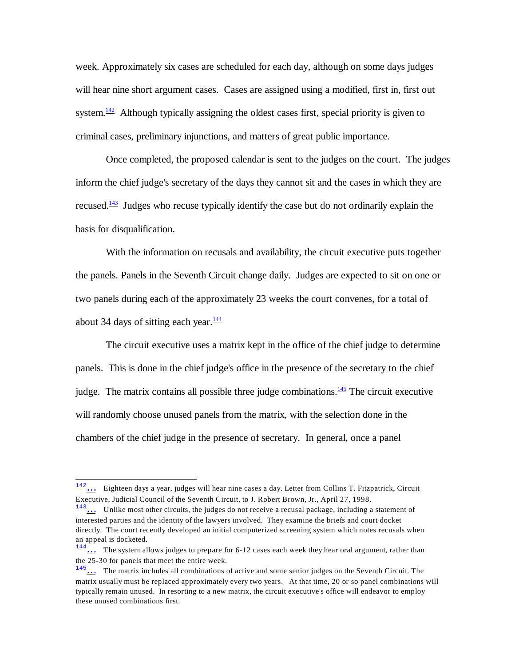<span id="page-28-0"></span>week. Approximately six cases are scheduled for each day, although on some days judges will hear nine short argument cases. Cases are assigned using a modified, first in, first out system.<sup>[142](#page-28-4)</sup> Although typically assigning the oldest cases first, special priority is given to criminal cases, preliminary injunctions, and matters of great public importance.

<span id="page-28-1"></span>Once completed, the proposed calendar is sent to the judges on the court. The judges inform the chief judge's secretary of the days they cannot sit and the cases in which they are recused.<sup>[143](#page-28-5)</sup> Judges who recuse typically identify the case but do not ordinarily explain the basis for disqualification.

With the information on recusals and availability, the circuit executive puts together the panels. Panels in the Seventh Circuit change daily. Judges are expected to sit on one or two panels during each of the approximately 23 weeks the court convenes, for a total of about 34 days of sitting each year. $\frac{144}{1}$  $\frac{144}{1}$  $\frac{144}{1}$ 

<span id="page-28-3"></span><span id="page-28-2"></span>The circuit executive uses a matrix kept in the office of the chief judge to determine panels. This is done in the chief judge's office in the presence of the secretary to the chief judge. The matrix contains all possible three judge combinations. $\frac{145}{12}$  $\frac{145}{12}$  $\frac{145}{12}$  The circuit executive will randomly choose unused panels from the matrix, with the selection done in the chambers of the chief judge in the presence of secretary. In general, once a panel

<span id="page-28-4"></span><sup>142</sup>[…](#page-28-0) Eighteen days a year, judges will hear nine cases a day. Letter from Collins T. Fitzpatrick, Circuit Executive, Judicial Council of the Seventh Circuit, to J. Robert Brown, Jr., April 27, 1998.

<span id="page-28-5"></span> $143...$  Unlike most other circuits, the judges do not receive a recusal package, including a statement of interested parties and the identity of the lawyers involved. They examine the briefs and court docket directly. The court recently developed an initial computerized screening system which notes recusals when an appeal is docketed.

<span id="page-28-6"></span> $144...$  The system allows judges to prepare for 6-12 cases each week they hear oral argument, rather than the 25-30 for panels that meet the entire week.

<span id="page-28-7"></span><sup>&</sup>lt;sup>145</sup>[…](#page-28-3) The matrix includes all combinations of active and some senior judges on the Seventh Circuit. The matrix usually must be replaced approximately every two years. At that time, 20 or so panel combinations will typically remain unused. In resorting to a new matrix, the circuit executive's office will endeavor to employ these unused combinations first.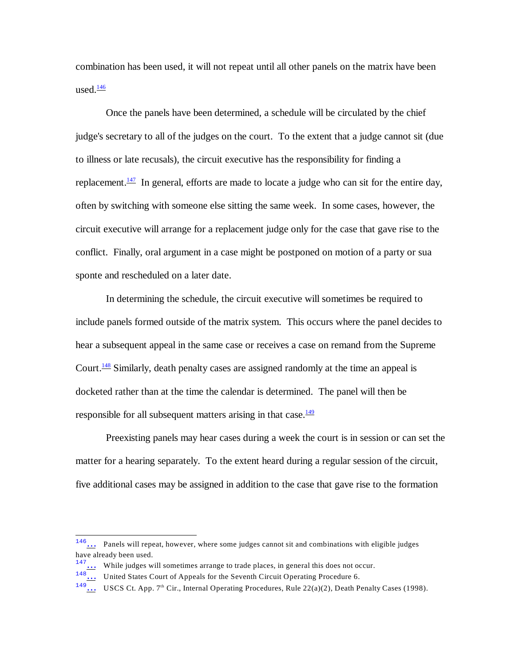<span id="page-29-0"></span>combination has been used, it will not repeat until all other panels on the matrix have been used. $\frac{146}{1}$  $\frac{146}{1}$  $\frac{146}{1}$ 

<span id="page-29-1"></span>Once the panels have been determined, a schedule will be circulated by the chief judge's secretary to all of the judges on the court. To the extent that a judge cannot sit (due to illness or late recusals), the circuit executive has the responsibility for finding a replacement.<sup>[147](#page-29-5)</sup> In general, efforts are made to locate a judge who can sit for the entire day, often by switching with someone else sitting the same week. In some cases, however, the circuit executive will arrange for a replacement judge only for the case that gave rise to the conflict. Finally, oral argument in a case might be postponed on motion of a party or sua sponte and rescheduled on a later date.

<span id="page-29-2"></span>In determining the schedule, the circuit executive will sometimes be required to include panels formed outside of the matrix system. This occurs where the panel decides to hear a subsequent appeal in the same case or receives a case on remand from the Supreme Court.<sup>[148](#page-29-6)</sup> Similarly, death penalty cases are assigned randomly at the time an appeal is docketed rather than at the time the calendar is determined. The panel will then be responsible for all subsequent matters arising in that case.<sup>[149](#page-29-7)</sup>

<span id="page-29-3"></span>Preexisting panels may hear cases during a week the court is in session or can set the matter for a hearing separately. To the extent heard during a regular session of the circuit, five additional cases may be assigned in addition to the case that gave rise to the formation

<span id="page-29-4"></span><sup>146</sup>[…](#page-29-0) Panels will repeat, however, where some judges cannot sit and combinations with eligible judges have already been used.

<span id="page-29-5"></span> $147...$  While judges will sometimes arrange to trade places, in general this does not occur.

<span id="page-29-6"></span><sup>&</sup>lt;sup>148</sup> ... United States Court of Appeals for the Seventh Circuit Operating Procedure 6.

<span id="page-29-7"></span> $\frac{149...}{149...}$  USCS Ct. App. 7<sup>th</sup> Cir., Internal Operating Procedures, Rule 22(a)(2), Death Penalty Cases (1998).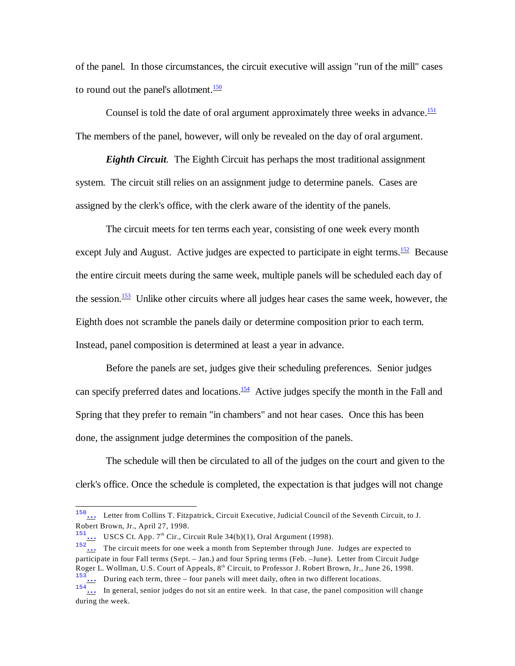of the panel. In those circumstances, the circuit executive will assign "run of the mill" cases to round out the panel's allotment. $\frac{150}{150}$  $\frac{150}{150}$  $\frac{150}{150}$ 

<span id="page-30-1"></span><span id="page-30-0"></span>Counsel is told the date of oral argument approximately three weeks in advance.<sup>[151](#page-30-6)</sup> The members of the panel, however, will only be revealed on the day of oral argument.

*Eighth Circuit.* The Eighth Circuit has perhaps the most traditional assignment system. The circuit still relies on an assignment judge to determine panels. Cases are assigned by the clerk's office, with the clerk aware of the identity of the panels.

<span id="page-30-3"></span><span id="page-30-2"></span>The circuit meets for ten terms each year, consisting of one week every month except July and August. Active judges are expected to participate in eight terms.<sup>[152](#page-30-7)</sup> Because the entire circuit meets during the same week, multiple panels will be scheduled each day of the session.<sup>[153](#page-30-8)</sup> Unlike other circuits where all judges hear cases the same week, however, the Eighth does not scramble the panels daily or determine composition prior to each term. Instead, panel composition is determined at least a year in advance.

<span id="page-30-4"></span>Before the panels are set, judges give their scheduling preferences. Senior judges can specify preferred dates and locations.<sup>[154](#page-30-9)</sup> Active judges specify the month in the Fall and Spring that they prefer to remain "in chambers" and not hear cases. Once this has been done, the assignment judge determines the composition of the panels.

The schedule will then be circulated to all of the judges on the court and given to the clerk's office. Once the schedule is completed, the expectation is that judges will not change

<span id="page-30-5"></span><sup>150</sup>[…](#page-30-0) Letter from Collins T. Fitzpatrick, Circuit Executive, Judicial Council of the Seventh Circuit, to J. Robert Brown, Jr., April 27, 1998.

<span id="page-30-6"></span><sup>&</sup>lt;sup>151</sup>... USCS Ct. App. 7<sup>th</sup> Cir., Circuit Rule 34(b)(1), Oral Argument (1998).<br>The circuit meats for one work a marth from Sector 1.1 the state

<span id="page-30-7"></span> $\ldots$  The circuit meets for one week a month from September through June. Judges are expected to participate in four Fall terms (Sept. – Jan.) and four Spring terms (Feb. –June). Letter from Circuit Judge Roger L. Wollman, U.S. Court of Appeals, 8<sup>th</sup> Circuit, to Professor J. Robert Brown, Jr., June 26, 1998.  $\frac{153}{153}$  During each term, three – four panels will meet daily, often in two different locations.

<span id="page-30-9"></span><span id="page-30-8"></span> $\frac{154}{154}$  In general, senior judges do not sit an entire week. In that case, the panel composition will change during the week.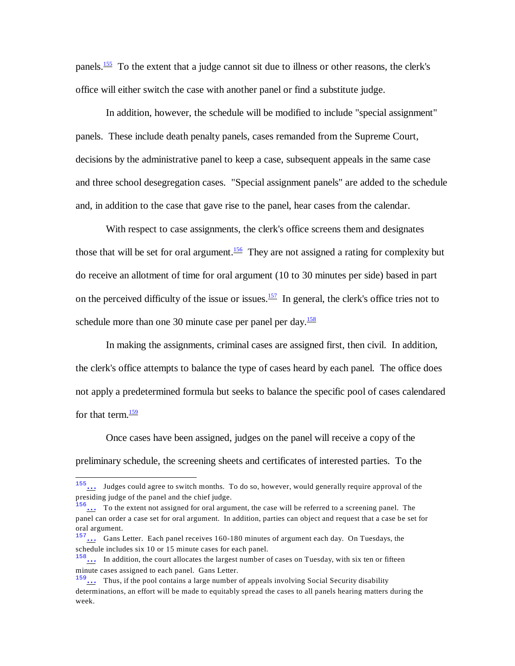<span id="page-31-0"></span>panels.<sup>[155](#page-31-5)</sup> To the extent that a judge cannot sit due to illness or other reasons, the clerk's office will either switch the case with another panel or find a substitute judge.

In addition, however, the schedule will be modified to include "special assignment" panels. These include death penalty panels, cases remanded from the Supreme Court, decisions by the administrative panel to keep a case, subsequent appeals in the same case and three school desegregation cases. "Special assignment panels" are added to the schedule and, in addition to the case that gave rise to the panel, hear cases from the calendar.

<span id="page-31-1"></span>With respect to case assignments, the clerk's office screens them and designates those that will be set for oral argument.<sup>[156](#page-31-6)</sup> They are not assigned a rating for complexity but do receive an allotment of time for oral argument (10 to 30 minutes per side) based in part on the perceived difficulty of the issue or issues.<sup>[157](#page-31-7)</sup> In general, the clerk's office tries not to schedule more than one 30 minute case per panel per day. $\frac{158}{158}$  $\frac{158}{158}$  $\frac{158}{158}$ 

<span id="page-31-3"></span><span id="page-31-2"></span>In making the assignments, criminal cases are assigned first, then civil. In addition, the clerk's office attempts to balance the type of cases heard by each panel. The office does not apply a predetermined formula but seeks to balance the specific pool of cases calendared for that term. $\frac{159}{159}$  $\frac{159}{159}$  $\frac{159}{159}$ 

<span id="page-31-4"></span>Once cases have been assigned, judges on the panel will receive a copy of the preliminary schedule, the screening sheets and certificates of interested parties. To the

<span id="page-31-5"></span><sup>155</sup>[…](#page-31-0) Judges could agree to switch months. To do so, however, would generally require approval of the presiding judge of the panel and the chief judge.

<span id="page-31-6"></span> $\frac{156}{11}$  To the extent not assigned for oral argument, the case will be referred to a screening panel. The panel can order a case set for oral argument. In addition, parties can object and request that a case be set for oral argument.

<span id="page-31-7"></span> $157...$  Gans Letter. Each panel receives 160-180 minutes of argument each day. On Tuesdays, the schedule includes six 10 or 15 minute cases for each panel.

<span id="page-31-8"></span><sup>&</sup>lt;sup>158</sup>... In addition, the court allocates the largest number of cases on Tuesday, with six ten or fifteen minute cases assigned to each panel. Gans Letter.

<span id="page-31-9"></span> $159...$  Thus, if the pool contains a large number of appeals involving Social Security disability determinations, an effort will be made to equitably spread the cases to all panels hearing matters during the week.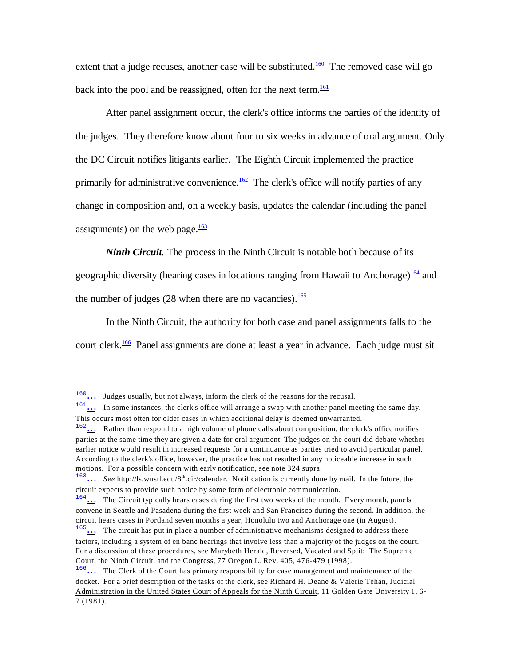<span id="page-32-1"></span><span id="page-32-0"></span>extent that a judge recuses, another case will be substituted.<sup>[160](#page-32-7)</sup> The removed case will go back into the pool and be reassigned, often for the next term. $\frac{161}{161}$  $\frac{161}{161}$  $\frac{161}{161}$ 

<span id="page-32-2"></span>After panel assignment occur, the clerk's office informs the parties of the identity of the judges. They therefore know about four to six weeks in advance of oral argument. Only the DC Circuit notifies litigants earlier. The Eighth Circuit implemented the practice primarily for administrative convenience.<sup>[162](#page-32-9)</sup> The clerk's office will notify parties of any change in composition and, on a weekly basis, updates the calendar (including the panel assignments) on the web page. $\frac{163}{2}$  $\frac{163}{2}$  $\frac{163}{2}$ 

<span id="page-32-3"></span>*Ninth Circuit.* The process in the Ninth Circuit is notable both because of its geographic diversity (hearing cases in locations ranging from Hawaii to Anchorage)<sup>[164](#page-32-11)</sup> and

<span id="page-32-5"></span><span id="page-32-4"></span>the number of judges (28 when there are no vacancies). $\frac{165}{165}$  $\frac{165}{165}$  $\frac{165}{165}$ 

<span id="page-32-6"></span>In the Ninth Circuit, the authority for both case and panel assignments falls to the court clerk.<sup>[166](#page-32-13)</sup> Panel assignments are done at least a year in advance. Each judge must sit

<span id="page-32-7"></span><sup>160</sup>[…](#page-32-0) Judges usually, but not always, inform the clerk of the reasons for the recusal.

<span id="page-32-8"></span><sup>161.</sup> In some instances, the clerk's office will arrange a swap with another panel meeting the same day. This occurs most often for older cases in which additional delay is deemed unwarranted.

<span id="page-32-9"></span><sup>&</sup>lt;sup>162</sup>... Rather than respond to a high volume of phone calls about composition, the clerk's office notifies parties at the same time they are given a date for oral argument. The judges on the court did debate whether earlier notice would result in increased requests for a continuance as parties tried to avoid particular panel. According to the clerk's office, however, the practice has not resulted in any noticeable increase in such motions. For a possible concern with early notification, see note 324 supra.

<span id="page-32-10"></span><sup>&</sup>lt;sup>163</sup>[…](#page-32-3) *See* http://ls.wustl.edu/8<sup>th</sup>.cir/calendar. Notification is currently done by mail. In the future, the circuit expects to provide such notice by some form of electronic communication.

<span id="page-32-11"></span><sup>&</sup>lt;sup>164</sup>[…](#page-32-4) The Circuit typically hears cases during the first two weeks of the month. Every month, panels convene in Seattle and Pasadena during the first week and San Francisco during the second. In addition, the circuit hears cases in Portland seven months a year, Honolulu two and Anchorage one (in August).

<span id="page-32-12"></span><sup>&</sup>lt;sup>165</sup>... The circuit has put in place a number of administrative mechanisms designed to address these factors, including a system of en banc hearings that involve less than a majority of the judges on the court. For a discussion of these procedures, see Marybeth Herald, Reversed, Vacated and Split: The Supreme Court, the Ninth Circuit, and the Congress, 77 Oregon L. Rev. 405, 476-479 (1998).

<span id="page-32-13"></span><sup>166</sup>[…](#page-32-6) The Clerk of the Court has primary responsibility for case management and maintenance of the docket. For a brief description of the tasks of the clerk, see Richard H. Deane & Valerie Tehan, Judicial Administration in the United States Court of Appeals for the Ninth Circuit, 11 Golden Gate University 1, 6- 7 (1981).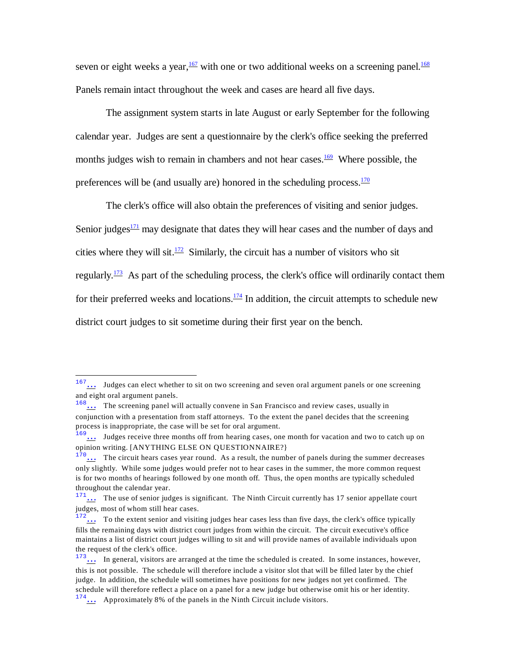<span id="page-33-1"></span><span id="page-33-0"></span>seven or eight weeks a year,  $\frac{167}{162}$  $\frac{167}{162}$  $\frac{167}{162}$  with one or two additional weeks on a screening panel.<sup>[168](#page-33-9)</sup> Panels remain intact throughout the week and cases are heard all five days.

The assignment system starts in late August or early September for the following calendar year. Judges are sent a questionnaire by the clerk's office seeking the preferred months judges wish to remain in chambers and not hear cases.<sup>[169](#page-33-10)</sup> Where possible, the preferences will be (and usually are) honored in the scheduling process. $170$ 

<span id="page-33-6"></span><span id="page-33-5"></span><span id="page-33-4"></span><span id="page-33-3"></span><span id="page-33-2"></span>The clerk's office will also obtain the preferences of visiting and senior judges. Senior judges<sup>[171](#page-33-12)</sup> may designate that dates they will hear cases and the number of days and cities where they will sit.<sup>[172](#page-33-13)</sup> Similarly, the circuit has a number of visitors who sit regularly.<sup>[173](#page-33-14)</sup> As part of the scheduling process, the clerk's office will ordinarily contact them for their preferred weeks and locations. $174$  In addition, the circuit attempts to schedule new district court judges to sit sometime during their first year on the bench.

<span id="page-33-8"></span><span id="page-33-7"></span><sup>167</sup>[…](#page-33-0) Judges can elect whether to sit on two screening and seven oral argument panels or one screening and eight oral argument panels.

<span id="page-33-9"></span> $168...$  The screening panel will actually convene in San Francisco and review cases, usually in conjunction with a presentation from staff attorneys. To the extent the panel decides that the screening process is inappropriate, the case will be set for oral argument.

<span id="page-33-10"></span><sup>&</sup>lt;sup>169</sup>[…](#page-33-2) Judges receive three months off from hearing cases, one month for vacation and two to catch up on opinion writing. [ANYTHING ELSE ON QUESTIONNAIRE?}

<span id="page-33-11"></span> $170...$  The circuit hears cases year round. As a result, the number of panels during the summer decreases only slightly. While some judges would prefer not to hear cases in the summer, the more common request is for two months of hearings followed by one month off. Thus, the open months are typically scheduled throughout the calendar year.

<span id="page-33-12"></span> $171...$  The use of senior judges is significant. The Ninth Circuit currently has 17 senior appellate court judges, most of whom still hear cases.

<span id="page-33-13"></span> $172...$  To the extent senior and visiting judges hear cases less than five days, the clerk's office typically fills the remaining days with district court judges from within the circuit. The circuit executive's office maintains a list of district court judges willing to sit and will provide names of available individuals upon the request of the clerk's office.

<span id="page-33-14"></span> $173...$  In general, visitors are arranged at the time the scheduled is created. In some instances, however, this is not possible. The schedule will therefore include a visitor slot that will be filled later by the chief judge. In addition, the schedule will sometimes have positions for new judges not yet confirmed. The schedule will therefore reflect a place on a panel for a new judge but otherwise omit his or her identity.

<span id="page-33-15"></span><sup>174</sup>[…](#page-33-7) Approximately 8% of the panels in the Ninth Circuit include visitors.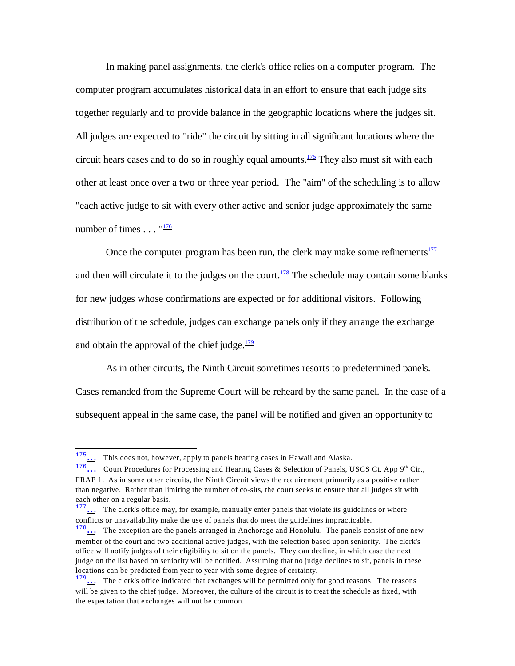<span id="page-34-0"></span>In making panel assignments, the clerk's office relies on a computer program. The computer program accumulates historical data in an effort to ensure that each judge sits together regularly and to provide balance in the geographic locations where the judges sit. All judges are expected to "ride" the circuit by sitting in all significant locations where the circuit hears cases and to do so in roughly equal amounts.<sup>[175](#page-34-5)</sup> They also must sit with each other at least once over a two or three year period. The "aim" of the scheduling is to allow "each active judge to sit with every other active and senior judge approximately the same number of times . . . "<sup>[176](#page-34-6)</sup>

<span id="page-34-3"></span><span id="page-34-2"></span><span id="page-34-1"></span>Once the computer program has been run, the clerk may make some refinements $\frac{177}{17}$  $\frac{177}{17}$  $\frac{177}{17}$ and then will circulate it to the judges on the court.<sup>[178](#page-34-8)</sup> The schedule may contain some blanks for new judges whose confirmations are expected or for additional visitors. Following distribution of the schedule, judges can exchange panels only if they arrange the exchange and obtain the approval of the chief judge. $\frac{179}{2}$  $\frac{179}{2}$  $\frac{179}{2}$ 

<span id="page-34-4"></span>As in other circuits, the Ninth Circuit sometimes resorts to predetermined panels. Cases remanded from the Supreme Court will be reheard by the same panel. In the case of a subsequent appeal in the same case, the panel will be notified and given an opportunity to

<span id="page-34-5"></span> $\frac{175...}{175...}$  This does not, however, apply to panels hearing cases in Hawaii and Alaska.

<span id="page-34-6"></span><sup>&</sup>lt;sup>176</sup> ... Court Procedures for Processing and Hearing Cases & Selection of Panels, USCS Ct. App 9<sup>th</sup> Cir., FRAP 1. As in some other circuits, the Ninth Circuit views the requirement primarily as a positive rather than negative. Rather than limiting the number of co-sits, the court seeks to ensure that all judges sit with each other on a regular basis.

<span id="page-34-7"></span><sup>&</sup>lt;sup>177</sup>... The clerk's office may, for example, manually enter panels that violate its guidelines or where conflicts or unavailability make the use of panels that do meet the guidelines impracticable.

<span id="page-34-8"></span><sup>&</sup>lt;sup>178</sup>... The exception are the panels arranged in Anchorage and Honolulu. The panels consist of one new member of the court and two additional active judges, with the selection based upon seniority. The clerk's office will notify judges of their eligibility to sit on the panels. They can decline, in which case the next judge on the list based on seniority will be notified. Assuming that no judge declines to sit, panels in these locations can be predicted from year to year with some degree of certainty.

<span id="page-34-9"></span> $179...$  The clerk's office indicated that exchanges will be permitted only for good reasons. The reasons will be given to the chief judge. Moreover, the culture of the circuit is to treat the schedule as fixed, with the expectation that exchanges will not be common.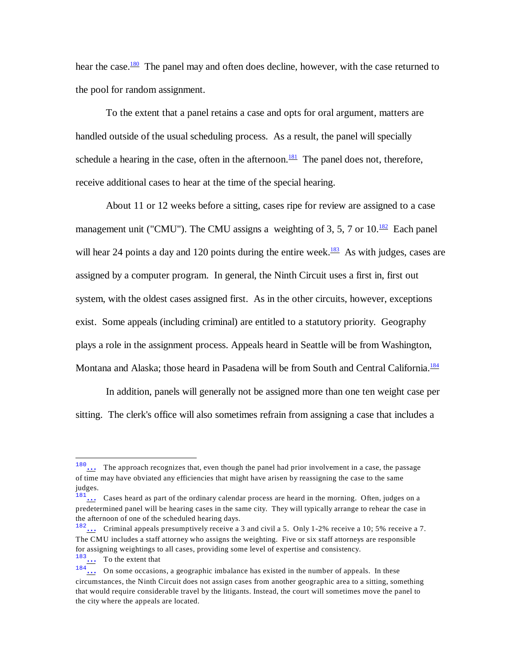<span id="page-35-0"></span>hear the case.<sup>[180](#page-35-5)</sup> The panel may and often does decline, however, with the case returned to the pool for random assignment.

<span id="page-35-1"></span>To the extent that a panel retains a case and opts for oral argument, matters are handled outside of the usual scheduling process. As a result, the panel will specially schedule a hearing in the case, often in the afternoon.<sup>[181](#page-35-6)</sup> The panel does not, therefore, receive additional cases to hear at the time of the special hearing.

<span id="page-35-3"></span><span id="page-35-2"></span>About 11 or 12 weeks before a sitting, cases ripe for review are assigned to a case management unit ("CMU"). The CMU assigns a weighting of 3, 5, 7 or 10.<sup>[182](#page-35-7)</sup> Each panel will hear 24 points a day and 120 points during the entire week.<sup>[183](#page-35-8)</sup> As with judges, cases are assigned by a computer program. In general, the Ninth Circuit uses a first in, first out system, with the oldest cases assigned first. As in the other circuits, however, exceptions exist. Some appeals (including criminal) are entitled to a statutory priority. Geography plays a role in the assignment process. Appeals heard in Seattle will be from Washington, Montana and Alaska; those heard in Pasadena will be from South and Central California.<sup>[184](#page-35-9)</sup>

<span id="page-35-4"></span>In addition, panels will generally not be assigned more than one ten weight case per sitting. The clerk's office will also sometimes refrain from assigning a case that includes a

<span id="page-35-8"></span><sup>183</sup>[…](#page-35-3) To the extent that

<span id="page-35-5"></span>The approach recognizes that, even though the panel had prior involvement in a case, the passage of time may have obviated any efficiencies that might have arisen by reassigning the case to the same judges.

<span id="page-35-6"></span> $181...$  Cases heard as part of the ordinary calendar process are heard in the morning. Often, judges on a predetermined panel will be hearing cases in the same city. They will typically arrange to rehear the case in the afternoon of one of the scheduled hearing days.

<span id="page-35-7"></span><sup>182</sup>[…](#page-35-2) Criminal appeals presumptively receive a 3 and civil a 5. Only 1-2% receive a 10; 5% receive a 7. The CMU includes a staff attorney who assigns the weighting. Five or six staff attorneys are responsible for assigning weightings to all cases, providing some level of expertise and consistency.

<span id="page-35-9"></span><sup>184</sup>[…](#page-35-4) On some occasions, a geographic imbalance has existed in the number of appeals. In these circumstances, the Ninth Circuit does not assign cases from another geographic area to a sitting, something that would require considerable travel by the litigants. Instead, the court will sometimes move the panel to the city where the appeals are located.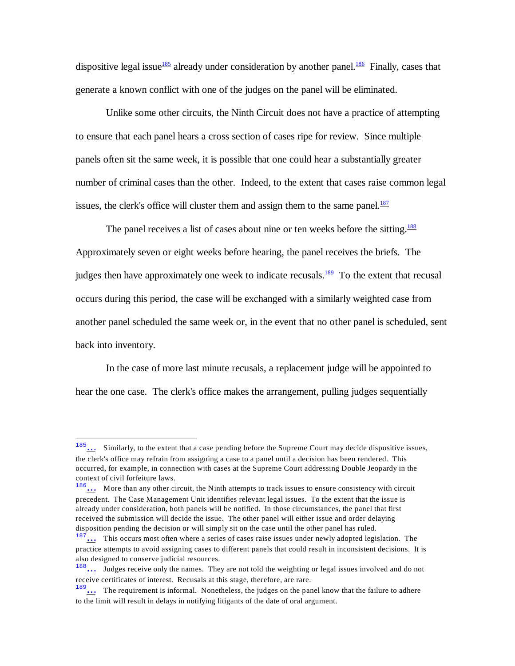<span id="page-36-1"></span><span id="page-36-0"></span>dispositive legal issue<sup>[185](#page-36-5)</sup> already under consideration by another panel.<sup>[186](#page-36-6)</sup> Finally, cases that generate a known conflict with one of the judges on the panel will be eliminated.

Unlike some other circuits, the Ninth Circuit does not have a practice of attempting to ensure that each panel hears a cross section of cases ripe for review. Since multiple panels often sit the same week, it is possible that one could hear a substantially greater number of criminal cases than the other. Indeed, to the extent that cases raise common legal issues, the clerk's office will cluster them and assign them to the same panel.<sup>[187](#page-36-7)</sup>

<span id="page-36-4"></span><span id="page-36-3"></span><span id="page-36-2"></span>The panel receives a list of cases about nine or ten weeks before the sitting.<sup>[188](#page-36-8)</sup> Approximately seven or eight weeks before hearing, the panel receives the briefs. The judges then have approximately one week to indicate recusals.<sup>[189](#page-36-9)</sup> To the extent that recusal occurs during this period, the case will be exchanged with a similarly weighted case from another panel scheduled the same week or, in the event that no other panel is scheduled, sent back into inventory.

In the case of more last minute recusals, a replacement judge will be appointed to hear the one case. The clerk's office makes the arrangement, pulling judges sequentially

<span id="page-36-5"></span> $\frac{185...}{185...}$  Similarly, to the extent that a case pending before the Supreme Court may decide dispositive issues, the clerk's office may refrain from assigning a case to a panel until a decision has been rendered. This occurred, for example, in connection with cases at the Supreme Court addressing Double Jeopardy in the context of civil forfeiture laws.

<span id="page-36-6"></span><sup>186</sup>[…](#page-36-1) More than any other circuit, the Ninth attempts to track issues to ensure consistency with circuit precedent. The Case Management Unit identifies relevant legal issues. To the extent that the issue is already under consideration, both panels will be notified. In those circumstances, the panel that first received the submission will decide the issue. The other panel will either issue and order delaying disposition pending the decision or will simply sit on the case until the other panel has ruled.

<span id="page-36-7"></span><sup>&</sup>lt;sup>187</sup>... This occurs most often where a series of cases raise issues under newly adopted legislation. The practice attempts to avoid assigning cases to different panels that could result in inconsistent decisions. It is also designed to conserve judicial resources.

<span id="page-36-8"></span><sup>188</sup>[…](#page-36-3) Judges receive only the names. They are not told the weighting or legal issues involved and do not receive certificates of interest. Recusals at this stage, therefore, are rare.

<span id="page-36-9"></span> $189...$  The requirement is informal. Nonetheless, the judges on the panel know that the failure to adhere to the limit will result in delays in notifying litigants of the date of oral argument.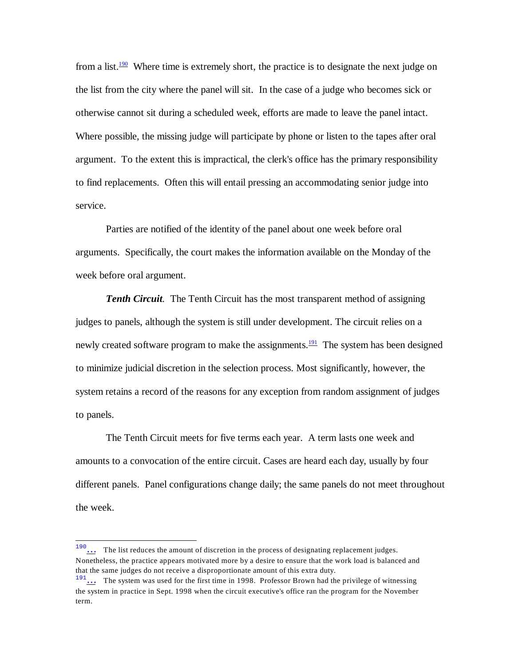<span id="page-37-0"></span>from a list.<sup>[190](#page-37-2)</sup> Where time is extremely short, the practice is to designate the next judge on the list from the city where the panel will sit. In the case of a judge who becomes sick or otherwise cannot sit during a scheduled week, efforts are made to leave the panel intact. Where possible, the missing judge will participate by phone or listen to the tapes after oral argument. To the extent this is impractical, the clerk's office has the primary responsibility to find replacements. Often this will entail pressing an accommodating senior judge into service.

Parties are notified of the identity of the panel about one week before oral arguments. Specifically, the court makes the information available on the Monday of the week before oral argument.

<span id="page-37-1"></span>**Tenth Circuit**. The Tenth Circuit has the most transparent method of assigning judges to panels, although the system is still under development. The circuit relies on a newly created software program to make the assignments.<sup>[191](#page-37-3)</sup> The system has been designed to minimize judicial discretion in the selection process. Most significantly, however, the system retains a record of the reasons for any exception from random assignment of judges to panels.

The Tenth Circuit meets for five terms each year. A term lasts one week and amounts to a convocation of the entire circuit. Cases are heard each day, usually by four different panels. Panel configurations change daily; the same panels do not meet throughout the week.

<span id="page-37-2"></span><sup>&</sup>lt;sup>190</sup>... The list reduces the amount of discretion in the process of designating replacement judges. Nonetheless, the practice appears motivated more by a desire to ensure that the work load is balanced and that the same judges do not receive a disproportionate amount of this extra duty.

<span id="page-37-3"></span> $191...$  The system was used for the first time in 1998. Professor Brown had the privilege of witnessing the system in practice in Sept. 1998 when the circuit executive's office ran the program for the November term.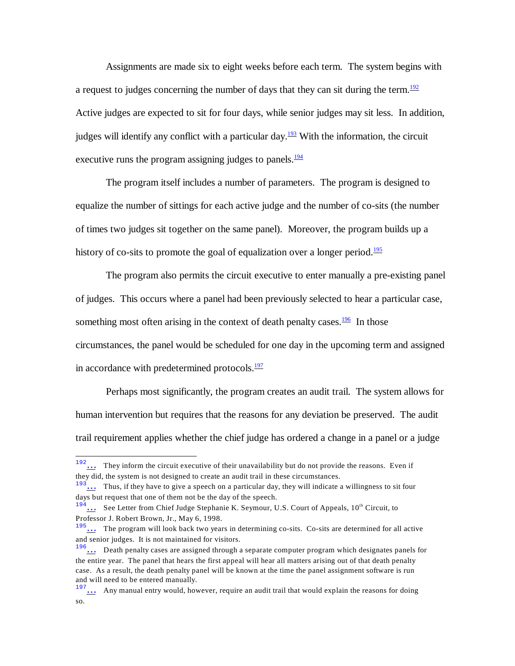<span id="page-38-0"></span>Assignments are made six to eight weeks before each term. The system begins with a request to judges concerning the number of days that they can sit during the term.<sup>[192](#page-38-6)</sup> Active judges are expected to sit for four days, while senior judges may sit less. In addition, judges will identify any conflict with a particular day.<sup>[193](#page-38-7)</sup> With the information, the circuit executive runs the program assigning judges to panels. $\frac{194}{194}$  $\frac{194}{194}$  $\frac{194}{194}$ 

<span id="page-38-2"></span><span id="page-38-1"></span>The program itself includes a number of parameters. The program is designed to equalize the number of sittings for each active judge and the number of co-sits (the number of times two judges sit together on the same panel). Moreover, the program builds up a history of co-sits to promote the goal of equalization over a longer period.<sup>[195](#page-38-9)</sup>

<span id="page-38-4"></span><span id="page-38-3"></span>The program also permits the circuit executive to enter manually a pre-existing panel of judges. This occurs where a panel had been previously selected to hear a particular case, something most often arising in the context of death penalty cases.<sup>[196](#page-38-10)</sup> In those circumstances, the panel would be scheduled for one day in the upcoming term and assigned in accordance with predetermined protocols. $\frac{197}{12}$  $\frac{197}{12}$  $\frac{197}{12}$ 

<span id="page-38-5"></span>Perhaps most significantly, the program creates an audit trail. The system allows for human intervention but requires that the reasons for any deviation be preserved. The audit trail requirement applies whether the chief judge has ordered a change in a panel or a judge

<span id="page-38-6"></span><sup>192</sup>[…](#page-38-0) They inform the circuit executive of their unavailability but do not provide the reasons. Even if they did, the system is not designed to create an audit trail in these circumstances.

<span id="page-38-7"></span> $193...$  Thus, if they have to give a speech on a particular day, they will indicate a willingness to sit four days but request that one of them not be the day of the speech.

<span id="page-38-8"></span> $194...$  See Letter from Chief Judge Stephanie K. Seymour, U.S. Court of Appeals,  $10<sup>th</sup>$  Circuit, to Professor J. Robert Brown, Jr., May 6, 1998.

<span id="page-38-9"></span><sup>195</sup>[…](#page-38-3) The program will look back two years in determining co-sits. Co-sits are determined for all active and senior judges. It is not maintained for visitors.

<span id="page-38-10"></span> $196\ldots$  Death penalty cases are assigned through a separate computer program which designates panels for the entire year. The panel that hears the first appeal will hear all matters arising out of that death penalty case. As a result, the death penalty panel will be known at the time the panel assignment software is run and will need to be entered manually.

<span id="page-38-11"></span> $\frac{197...}{...}$  Any manual entry would, however, require an audit trail that would explain the reasons for doing so.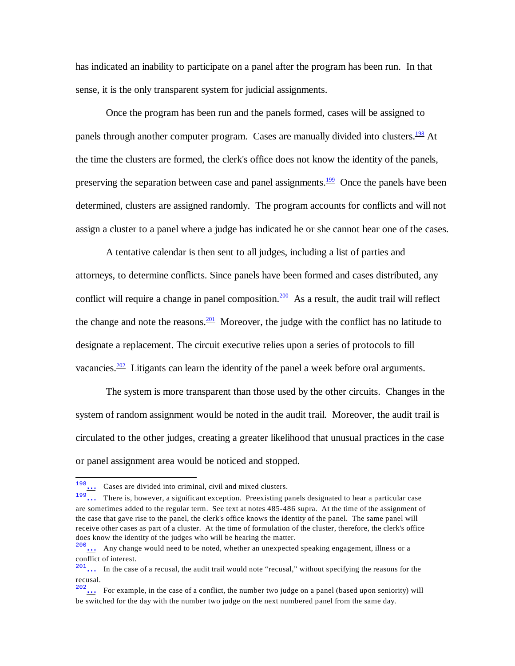has indicated an inability to participate on a panel after the program has been run. In that sense, it is the only transparent system for judicial assignments.

<span id="page-39-1"></span><span id="page-39-0"></span>Once the program has been run and the panels formed, cases will be assigned to panels through another computer program. Cases are manually divided into clusters.<sup>[198](#page-39-5)</sup> At the time the clusters are formed, the clerk's office does not know the identity of the panels, preserving the separation between case and panel assignments.<sup>[199](#page-39-6)</sup> Once the panels have been determined, clusters are assigned randomly. The program accounts for conflicts and will not assign a cluster to a panel where a judge has indicated he or she cannot hear one of the cases.

<span id="page-39-3"></span><span id="page-39-2"></span>A tentative calendar is then sent to all judges, including a list of parties and attorneys, to determine conflicts. Since panels have been formed and cases distributed, any conflict will require a change in panel composition.<sup>[200](#page-39-7)</sup> As a result, the audit trail will reflect the change and note the reasons. $\frac{201}{100}$  $\frac{201}{100}$  $\frac{201}{100}$  Moreover, the judge with the conflict has no latitude to designate a replacement. The circuit executive relies upon a series of protocols to fill vacancies. $\frac{202}{ }$  $\frac{202}{ }$  $\frac{202}{ }$  Litigants can learn the identity of the panel a week before oral arguments.

<span id="page-39-4"></span>The system is more transparent than those used by the other circuits. Changes in the system of random assignment would be noted in the audit trail. Moreover, the audit trail is circulated to the other judges, creating a greater likelihood that unusual practices in the case or panel assignment area would be noticed and stopped.

<span id="page-39-5"></span><sup>198</sup>[…](#page-39-0) Cases are divided into criminal, civil and mixed clusters.

<span id="page-39-6"></span><sup>&</sup>lt;sup>199</sup> ... There is, however, a significant exception. Preexisting panels designated to hear a particular case are sometimes added to the regular term. See text at notes 485-486 supra. At the time of the assignment of the case that gave rise to the panel, the clerk's office knows the identity of the panel. The same panel will receive other cases as part of a cluster. At the time of formulation of the cluster, therefore, the clerk's office does know the identity of the judges who will be hearing the matter.

<span id="page-39-7"></span><sup>200</sup>[…](#page-39-2) Any change would need to be noted, whether an unexpected speaking engagement, illness or a conflict of interest.

<span id="page-39-8"></span> $201...$  In the case of a recusal, the audit trail would note "recusal," without specifying the reasons for the recusal.

<span id="page-39-9"></span> $202...$  For example, in the case of a conflict, the number two judge on a panel (based upon seniority) will be switched for the day with the number two judge on the next numbered panel from the same day.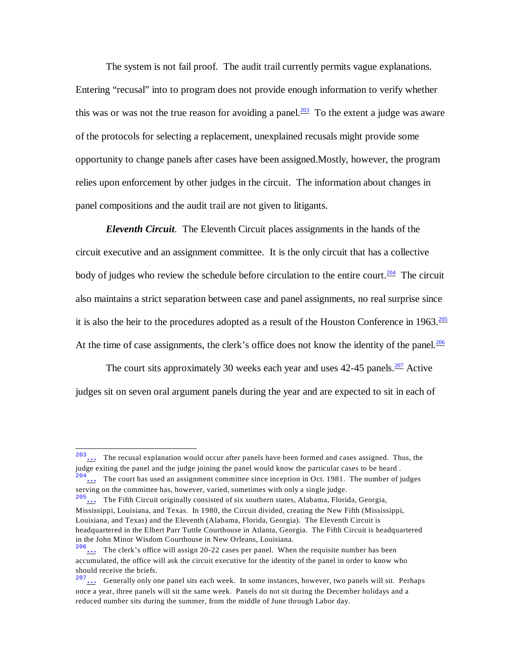<span id="page-40-0"></span>The system is not fail proof. The audit trail currently permits vague explanations. Entering "recusal" into to program does not provide enough information to verify whether this was or was not the true reason for avoiding a panel.<sup>[203](#page-40-5)</sup> To the extent a judge was aware of the protocols for selecting a replacement, unexplained recusals might provide some opportunity to change panels after cases have been assigned.M ostly, however, the program relies upon enforcement by other judges in the circuit. The information about changes in panel compositions and the audit trail are not given to litigants.

<span id="page-40-1"></span>*Eleventh Circuit*. The Eleventh Circuit places assignments in the hands of the circuit executive and an assignment committee. It is the only circuit that has a collective body of judges who review the schedule before circulation to the entire court.<sup>[204](#page-40-6)</sup> The circuit also maintains a strict separation between case and panel assignments, no real surprise since it is also the heir to the procedures adopted as a result of the Houston Conference in  $1963.\frac{205}{ }$  $1963.\frac{205}{ }$  $1963.\frac{205}{ }$ At the time of case assignments, the clerk's office does not know the identity of the panel. $\frac{206}{ }$  $\frac{206}{ }$  $\frac{206}{ }$ 

<span id="page-40-4"></span><span id="page-40-3"></span><span id="page-40-2"></span>The court sits approximately 30 weeks each year and uses  $42-45$  panels.<sup>[207](#page-40-9)</sup> Active judges sit on seven oral argument panels during the year and are expected to sit in each of

<span id="page-40-5"></span> $203...$  The recusal explanation would occur after panels have been formed and cases assigned. Thus, the judge exiting the panel and the judge joining the panel would know the particular cases to be heard .

<span id="page-40-6"></span> $\frac{1}{2}$ ... The court has used an assignment committee since inception in Oct. 1981. The number of judges serving on the committee has, however, varied, sometimes with only a single judge.

<span id="page-40-7"></span> $205...$  The Fifth Circuit originally consisted of six southern states, Alabama, Florida, Georgia, Mississippi, Louisiana, and Texas. In 1980, the Circuit divided, creating the New Fifth (Mississippi, Louisiana, and Texas) and the Eleventh (Alabama, Florida, Georgia). The Eleventh Circuit is headquartered in the Elbert Parr Tuttle Courthouse in Atlanta, Georgia. The Fifth Circuit is headquartered in the John Minor Wisdom Courthouse in New Orleans, Louisiana.

<span id="page-40-8"></span> $206...$  The clerk's office will assign 20-22 cases per panel. When the requisite number has been accumulated, the office will ask the circuit executive for the identity of the panel in order to know who should receive the briefs.

<span id="page-40-9"></span> $\frac{207}{11}$  Generally only one panel sits each week. In some instances, however, two panels will sit. Perhaps once a year, three panels will sit the same week. Panels do not sit during the December holidays and a reduced number sits during the summer, from the middle of June through Labor day.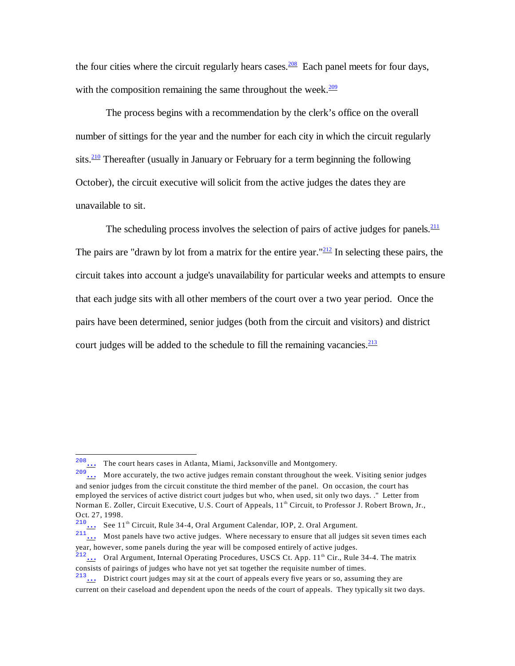<span id="page-41-1"></span><span id="page-41-0"></span>the four cities where the circuit regularly hears cases.<sup>[208](#page-41-6)</sup> Each panel meets for four days, with the composition remaining the same throughout the week. $209$ 

<span id="page-41-2"></span>The process begins with a recommendation by the clerk's office on the overall number of sittings for the year and the number for each city in which the circuit regularly sits. $\frac{210}{10}$  $\frac{210}{10}$  $\frac{210}{10}$  Thereafter (usually in January or February for a term beginning the following October), the circuit executive will solicit from the active judges the dates they are unavailable to sit.

<span id="page-41-5"></span><span id="page-41-4"></span><span id="page-41-3"></span>The scheduling process involves the selection of pairs of active judges for panels. $\frac{211}{211}$  $\frac{211}{211}$  $\frac{211}{211}$ The pairs are "drawn by lot from a matrix for the entire year." $\frac{212}{1}$  $\frac{212}{1}$  $\frac{212}{1}$  In selecting these pairs, the circuit takes into account a judge's unavailability for particular weeks and attempts to ensure that each judge sits with all other members of the court over a two year period. Once the pairs have been determined, senior judges (both from the circuit and visitors) and district court judges will be added to the schedule to fill the remaining vacancies. $\frac{213}{2}$  $\frac{213}{2}$  $\frac{213}{2}$ 

<span id="page-41-6"></span> $\frac{208}{209}$  The court hears cases in Atlanta, Miami, Jacksonville and Montgomery.

<span id="page-41-7"></span> $\therefore$  More accurately, the two active judges remain constant throughout the week. Visiting senior judges and senior judges from the circuit constitute the third member of the panel. On occasion, the court has employed the services of active district court judges but who, when used, sit only two days. ." Letter from Norman E. Zoller, Circuit Executive, U.S. Court of Appeals, 11<sup>th</sup> Circuit, to Professor J. Robert Brown, Jr., Oct. 27, 1998.

<span id="page-41-8"></span> $\frac{210}{11}$  See 11<sup>th</sup> Circuit, Rule 34-4, Oral Argument Calendar, IOP, 2. Oral Argument.

<span id="page-41-9"></span> $\frac{211}{11}$  Most panels have two active judges. Where necessary to ensure that all judges sit seven times each year, however, some panels during the year will be composed entirely of active judges.

<span id="page-41-10"></span> $\frac{212}{112}$  Oral Argument, Internal Operating Procedures, USCS Ct. App. 11<sup>th</sup> Cir., Rule 34-4. The matrix consists of pairings of judges who have not yet sat together the requisite number of times.

<span id="page-41-11"></span> $213...$  District court judges may sit at the court of appeals every five years or so, assuming they are

current on their caseload and dependent upon the needs of the court of appeals. They typically sit two days.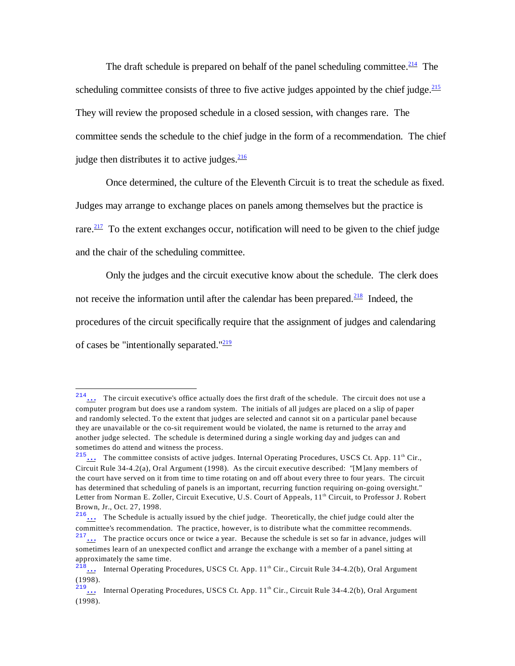The draft schedule is prepared on behalf of the panel scheduling committee.<sup>[214](#page-42-6)</sup> The scheduling committee consists of three to five active judges appointed by the chief judge. $\frac{215}{215}$  $\frac{215}{215}$  $\frac{215}{215}$ They will review the proposed schedule in a closed session, with changes rare. The committee sends the schedule to the chief judge in the form of a recommendation. The chief judge then distributes it to active judges.<sup>[216](#page-42-8)</sup>

<span id="page-42-4"></span><span id="page-42-2"></span><span id="page-42-1"></span><span id="page-42-0"></span>Once determined, the culture of the Eleventh Circuit is to treat the schedule as fixed.

Judges may arrange to exchange places on panels among themselves but the practice is

<span id="page-42-3"></span>rare. $\frac{217}{10}$  $\frac{217}{10}$  $\frac{217}{10}$  To the extent exchanges occur, notification will need to be given to the chief judge

and the chair of the scheduling committee.

Only the judges and the circuit executive know about the schedule. The clerk does not receive the information until after the calendar has been prepared.<sup>[218](#page-42-10)</sup> Indeed, the procedures of the circuit specifically require that the assignment of judges and calendaring of cases be "intentionally separated." $\frac{219}{216}$  $\frac{219}{216}$  $\frac{219}{216}$ 

<span id="page-42-6"></span><span id="page-42-5"></span><sup>214</sup>[…](#page-42-0) The circuit executive's office actually does the first draft of the schedule. The circuit does not use a computer program but does use a random system. The initials of all judges are placed on a slip of paper and randomly selected. To the extent that judges are selected and cannot sit on a particular panel because they are unavailable or the co-sit requirement would be violated, the name is returned to the array and another judge selected. The schedule is determined during a single working day and judges can and sometimes do attend and witness the process.

<span id="page-42-7"></span> $\frac{215...}{10}$  The committee consists of active judges. Internal Operating Procedures, USCS Ct. App. 11<sup>th</sup> Cir., Circuit Rule 34-4.2(a), Oral Argument (1998). As the circuit executive described: "[M]any members of the court have served on it from time to time rotating on and off about every three to four years. The circuit has determined that scheduling of panels is an important, recurring function requiring on-going oversight." Letter from Norman E. Zoller, Circuit Executive, U.S. Court of Appeals, 11th Circuit, to Professor J. Robert Brown, Jr., Oct. 27, 1998.

<span id="page-42-8"></span> $216...$  The Schedule is actually issued by the chief judge. Theoretically, the chief judge could alter the committee's recommendation. The practice, however, is to distribute what the committee recommends.

<span id="page-42-9"></span> $\frac{217}{11}$ ... The practice occurs once or twice a year. Because the schedule is set so far in advance, judges will sometimes learn of an unexpected conflict and arrange the exchange with a member of a panel sitting at approximately the same time.

<span id="page-42-10"></span> $\frac{218}{10}$  Internal Operating Procedures, USCS Ct. App. 11<sup>th</sup> Cir., Circuit Rule 34-4.2(b), Oral Argument (1998).

<span id="page-42-11"></span><sup>&</sup>lt;sup>219</sup>[…](#page-42-5) Internal Operating Procedures, USCS Ct. App.  $11<sup>th</sup>$  Cir., Circuit Rule 34-4.2(b), Oral Argument (1998).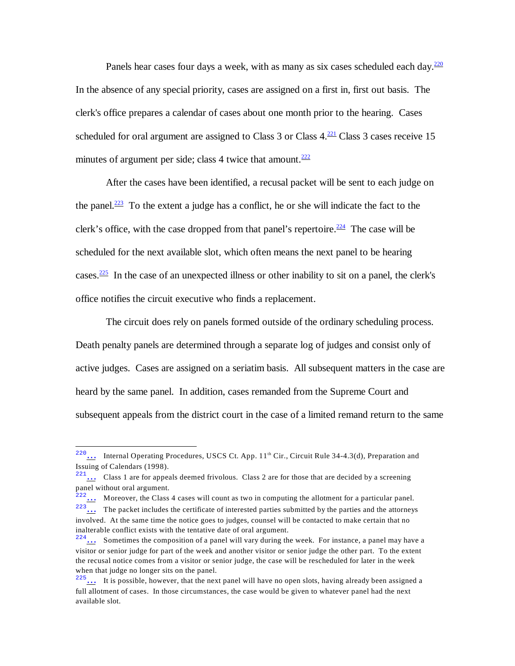<span id="page-43-0"></span>Panels hear cases four days a week, with as many as six cases scheduled each day. $\frac{220}{2}$  $\frac{220}{2}$  $\frac{220}{2}$ In the absence of any special priority, cases are assigned on a first in, first out basis. The clerk's office prepares a calendar of cases about one month prior to the hearing. Cases scheduled for oral argument are assigned to Class 3 or Class  $4.\frac{221}{12}$  $4.\frac{221}{12}$  $4.\frac{221}{12}$  Class 3 cases receive 15 minutes of argument per side; class 4 twice that amount. $222$ 

<span id="page-43-4"></span><span id="page-43-3"></span><span id="page-43-2"></span><span id="page-43-1"></span>After the cases have been identified, a recusal packet will be sent to each judge on the panel. $\frac{223}{2}$  $\frac{223}{2}$  $\frac{223}{2}$  To the extent a judge has a conflict, he or she will indicate the fact to the clerk's office, with the case dropped from that panel's repertoire.<sup>[224](#page-43-10)</sup> The case will be scheduled for the next available slot, which often means the next panel to be hearing cases. $\frac{225}{125}$  $\frac{225}{125}$  $\frac{225}{125}$  In the case of an unexpected illness or other inability to sit on a panel, the clerk's office notifies the circuit executive who finds a replacement.

<span id="page-43-5"></span>The circuit does rely on panels formed outside of the ordinary scheduling process. Death penalty panels are determined through a separate log of judges and consist only of active judges. Cases are assigned on a seriatim basis. All subsequent matters in the case are heard by the same panel. In addition, cases remanded from the Supreme Court and subsequent appeals from the district court in the case of a limited remand return to the same

<span id="page-43-6"></span><sup>&</sup>lt;sup>220</sup>... Internal Operating Procedures, USCS Ct. App. 11<sup>th</sup> Cir., Circuit Rule 34-4.3(d), Preparation and Issuing of Calendars (1998).

<span id="page-43-7"></span> $221...$  Class 1 are for appeals deemed frivolous. Class 2 are for those that are decided by a screening panel without oral argument.

<span id="page-43-9"></span><span id="page-43-8"></span> $222...$  Moreover, the Class 4 cases will count as two in computing the allotment for a particular panel.  $223...$  The packet includes the certificate of interested parties submitted by the parties and the attorneys involved. At the same time the notice goes to judges, counsel will be contacted to make certain that no inalterable conflict exists with the tentative date of oral argument.

<span id="page-43-10"></span> $224...$  Sometimes the composition of a panel will vary during the week. For instance, a panel may have a visitor or senior judge for part of the week and another visitor or senior judge the other part. To the extent the recusal notice comes from a visitor or senior judge, the case will be rescheduled for later in the week when that judge no longer sits on the panel.

<span id="page-43-11"></span> $225...$  It is possible, however, that the next panel will have no open slots, having already been assigned a full allotment of cases. In those circumstances, the case would be given to whatever panel had the next available slot.